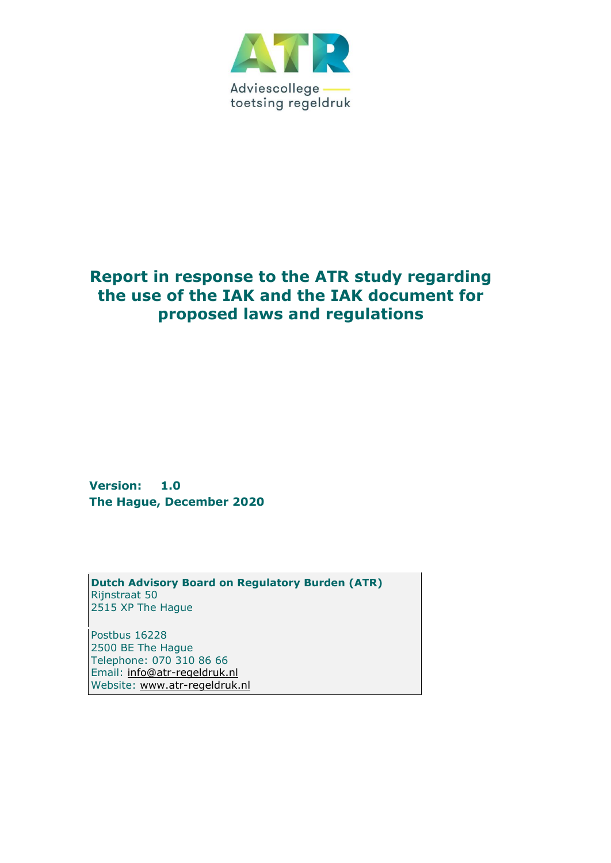

# **Report in response to the ATR study regarding the use of the IAK and the IAK document for proposed laws and regulations**

**Version: 1.0 The Hague, December 2020**

**Dutch Advisory Board on Regulatory Burden (ATR)** Rijnstraat 50 2515 XP The Hague

Postbus 16228 2500 BE The Hague Telephone: 070 310 86 66 Email: [info@atr-regeldruk.nl](mailto:info@atr-regeldruk.nl) Website: [www.atr-regeldruk.nl](http://www.atr-regeldruk.nl/)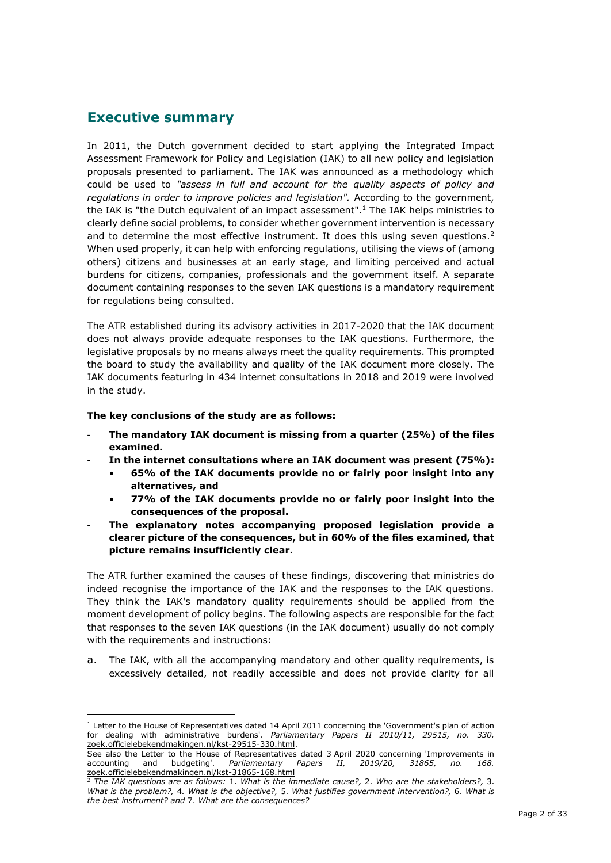# **Executive summary**

In 2011, the Dutch government decided to start applying the Integrated Impact Assessment Framework for Policy and Legislation (IAK) to all new policy and legislation proposals presented to parliament. The IAK was announced as a methodology which could be used to *"assess in full and account for the quality aspects of policy and regulations in order to improve policies and legislation".* According to the government, the IAK is "the Dutch equivalent of an impact assessment".<sup>1</sup> The IAK helps ministries to clearly define social problems, to consider whether government intervention is necessary and to determine the most effective instrument. It does this using seven questions.<sup>2</sup> When used properly, it can help with enforcing regulations, utilising the views of (among others) citizens and businesses at an early stage, and limiting perceived and actual burdens for citizens, companies, professionals and the government itself. A separate document containing responses to the seven IAK questions is a mandatory requirement for regulations being consulted.

The ATR established during its advisory activities in 2017-2020 that the IAK document does not always provide adequate responses to the IAK questions. Furthermore, the legislative proposals by no means always meet the quality requirements. This prompted the board to study the availability and quality of the IAK document more closely. The IAK documents featuring in 434 internet consultations in 2018 and 2019 were involved in the study.

**The key conclusions of the study are as follows:**

- **- The mandatory IAK document is missing from a quarter (25%) of the files examined.**
	- **- In the internet consultations where an IAK document was present (75%):**
		- **65% of the IAK documents provide no or fairly poor insight into any alternatives, and**
		- **77% of the IAK documents provide no or fairly poor insight into the consequences of the proposal.**
- **- The explanatory notes accompanying proposed legislation provide a clearer picture of the consequences, but in 60% of the files examined, that picture remains insufficiently clear.**

The ATR further examined the causes of these findings, discovering that ministries do indeed recognise the importance of the IAK and the responses to the IAK questions. They think the IAK's mandatory quality requirements should be applied from the moment development of policy begins. The following aspects are responsible for the fact that responses to the seven IAK questions (in the IAK document) usually do not comply with the requirements and instructions:

a. The IAK, with all the accompanying mandatory and other quality requirements, is excessively detailed, not readily accessible and does not provide clarity for all

<sup>1</sup> Letter to the House of Representatives dated 14 April 2011 concerning the 'Government's plan of action for dealing with administrative burdens'. *Parliamentary Papers II 2010/11, 29515, no. 330[.](https://zoek.officielebekendmakingen.nl/kst-29515-330.html)* [zoek.officielebekendmakingen.nl/kst-29515-330.html.](https://zoek.officielebekendmakingen.nl/kst-29515-330.html)

See also the Letter to the House of Representatives dated 3 April 2020 concerning 'Improvements in accounting and budgeting'. *Parliamentary Papers II, 2019/20, 31865, no. 168[.](https://zoek.officielebekendmakingen.nl/kst-31865-168.html)* [zoek.officielebekendmakingen.nl/kst-31865-168.html](https://zoek.officielebekendmakingen.nl/kst-31865-168.html)

<sup>2</sup> *The IAK questions are as follows:* 1. *What is the immediate cause?,* 2. *Who are the stakeholders?,* 3. *What is the problem?,* 4*. What is the objective?,* 5. *What justifies government intervention?,* 6. *What is the best instrument? and* 7. *What are the consequences?*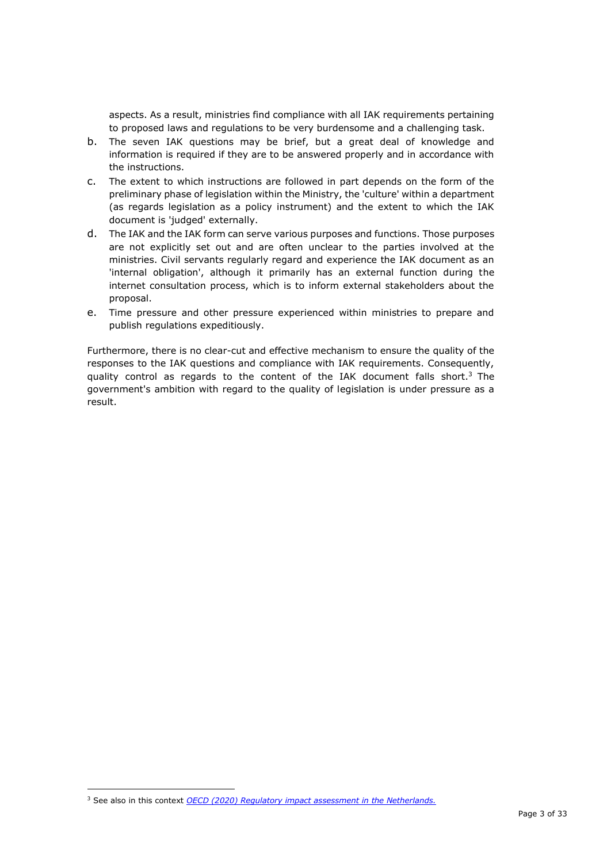aspects. As a result, ministries find compliance with all IAK requirements pertaining to proposed laws and regulations to be very burdensome and a challenging task.

- b. The seven IAK questions may be brief, but a great deal of knowledge and information is required if they are to be answered properly and in accordance with the instructions.
- c. The extent to which instructions are followed in part depends on the form of the preliminary phase of legislation within the Ministry, the 'culture' within a department (as regards legislation as a policy instrument) and the extent to which the IAK document is 'judged' externally.
- d. The IAK and the IAK form can serve various purposes and functions. Those purposes are not explicitly set out and are often unclear to the parties involved at the ministries. Civil servants regularly regard and experience the IAK document as an 'internal obligation', although it primarily has an external function during the internet consultation process, which is to inform external stakeholders about the proposal.
- e. Time pressure and other pressure experienced within ministries to prepare and publish regulations expeditiously.

Furthermore, there is no clear-cut and effective mechanism to ensure the quality of the responses to the IAK questions and compliance with IAK requirements. Consequently, quality control as regards to the content of the IAK document falls short.<sup>3</sup> The government's ambition with regard to the quality of legislation is under pressure as a result.

<sup>&</sup>lt;sup>3</sup> See also in this context *[OECD \(2020\) Regulatory impact assessment in the Netherlands.](http://www.oecd.org/regreform/regulatory-policy/regulatory-impact-assessment-in-the-netherlands.htm%23:~:text=This%20report%20evaluates%20the%20extent%20of%20good%20regulatory%20practice%20internationally.)*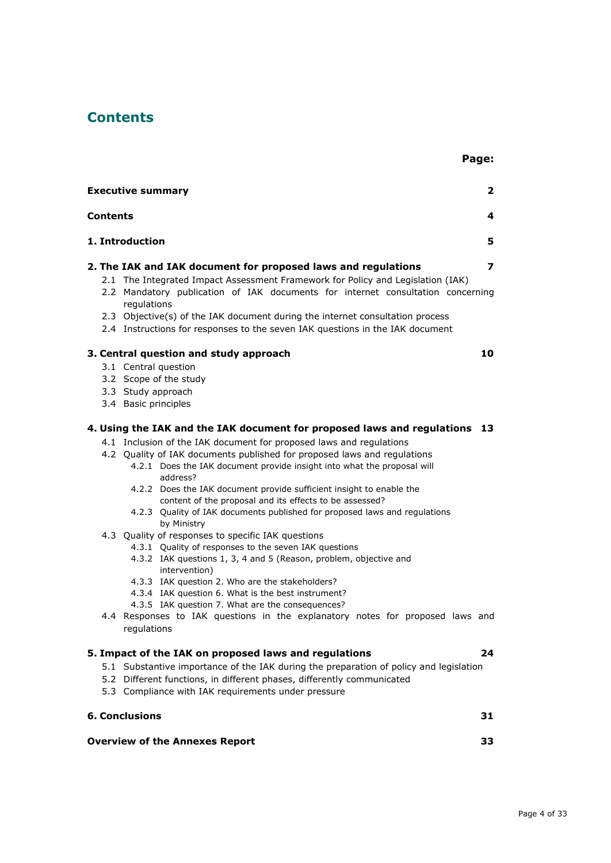# **Contents**

|                 | <b>Executive summary</b>                                                                                                                                                                                                                                                                                                                                                                                                                                                                                                                                                                                                                                   | $\overline{2}$ |
|-----------------|------------------------------------------------------------------------------------------------------------------------------------------------------------------------------------------------------------------------------------------------------------------------------------------------------------------------------------------------------------------------------------------------------------------------------------------------------------------------------------------------------------------------------------------------------------------------------------------------------------------------------------------------------------|----------------|
| <b>Contents</b> |                                                                                                                                                                                                                                                                                                                                                                                                                                                                                                                                                                                                                                                            | 4              |
|                 | 1. Introduction                                                                                                                                                                                                                                                                                                                                                                                                                                                                                                                                                                                                                                            | 5              |
|                 | 2. The IAK and IAK document for proposed laws and regulations                                                                                                                                                                                                                                                                                                                                                                                                                                                                                                                                                                                              | 7              |
|                 | 2.1 The Integrated Impact Assessment Framework for Policy and Legislation (IAK)<br>2.2 Mandatory publication of IAK documents for internet consultation concerning<br>regulations<br>2.3 Objective(s) of the IAK document during the internet consultation process                                                                                                                                                                                                                                                                                                                                                                                         |                |
|                 | 2.4 Instructions for responses to the seven IAK questions in the IAK document                                                                                                                                                                                                                                                                                                                                                                                                                                                                                                                                                                              |                |
|                 | 3. Central question and study approach                                                                                                                                                                                                                                                                                                                                                                                                                                                                                                                                                                                                                     | 10             |
|                 | 3.1 Central question<br>3.2 Scope of the study<br>3.3 Study approach<br>3.4 Basic principles                                                                                                                                                                                                                                                                                                                                                                                                                                                                                                                                                               |                |
|                 | 4. Using the IAK and the IAK document for proposed laws and regulations 13                                                                                                                                                                                                                                                                                                                                                                                                                                                                                                                                                                                 |                |
|                 | 4.1 Inclusion of the IAK document for proposed laws and regulations<br>4.2 Quality of IAK documents published for proposed laws and regulations<br>4.2.1 Does the IAK document provide insight into what the proposal will<br>address?<br>4.2.2 Does the IAK document provide sufficient insight to enable the<br>content of the proposal and its effects to be assessed?<br>4.2.3 Quality of IAK documents published for proposed laws and regulations<br>by Ministry<br>4.3 Quality of responses to specific IAK questions<br>4.3.1 Quality of responses to the seven IAK questions<br>4.3.2 IAK questions 1, 3, 4 and 5 (Reason, problem, objective and |                |
|                 | intervention)<br>4.3.3 IAK question 2. Who are the stakeholders?<br>4.3.4 IAK question 6. What is the best instrument?<br>4.3.5 IAK question 7. What are the consequences?<br>4.4 Responses to IAK questions in the explanatory notes for proposed laws and<br>regulations                                                                                                                                                                                                                                                                                                                                                                                 |                |
|                 | 5. Impact of the IAK on proposed laws and regulations                                                                                                                                                                                                                                                                                                                                                                                                                                                                                                                                                                                                      | 24             |
|                 | 5.1 Substantive importance of the IAK during the preparation of policy and legislation<br>5.2 Different functions, in different phases, differently communicated<br>5.3 Compliance with IAK requirements under pressure                                                                                                                                                                                                                                                                                                                                                                                                                                    |                |
|                 | <b>6. Conclusions</b>                                                                                                                                                                                                                                                                                                                                                                                                                                                                                                                                                                                                                                      | 31             |
|                 | <b>Overview of the Annexes Report</b>                                                                                                                                                                                                                                                                                                                                                                                                                                                                                                                                                                                                                      | 33             |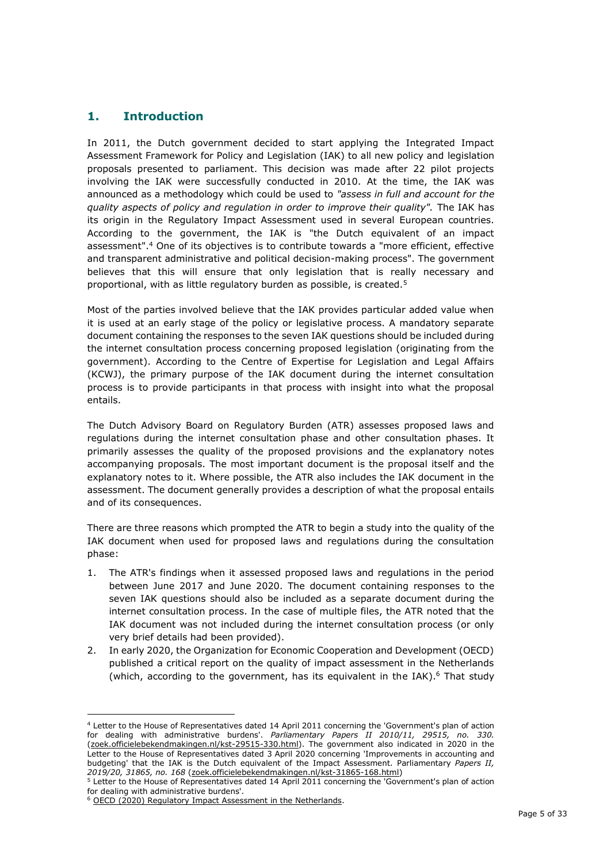## **1. Introduction**

In 2011, the Dutch government decided to start applying the Integrated Impact Assessment Framework for Policy and Legislation (IAK) to all new policy and legislation proposals presented to parliament. This decision was made after 22 pilot projects involving the IAK were successfully conducted in 2010. At the time, the IAK was announced as a methodology which could be used to *"assess in full and account for the quality aspects of policy and regulation in order to improve their quality".* The IAK has its origin in the Regulatory Impact Assessment used in several European countries. According to the government, the IAK is "the Dutch equivalent of an impact assessment".<sup>4</sup> One of its objectives is to contribute towards a "more efficient, effective and transparent administrative and political decision-making process". The government believes that this will ensure that only legislation that is really necessary and proportional, with as little regulatory burden as possible, is created.<sup>5</sup>

Most of the parties involved believe that the IAK provides particular added value when it is used at an early stage of the policy or legislative process. A mandatory separate document containing the responses to the seven IAK questions should be included during the internet consultation process concerning proposed legislation (originating from the government). According to the Centre of Expertise for Legislation and Legal Affairs (KCWJ), the primary purpose of the IAK document during the internet consultation process is to provide participants in that process with insight into what the proposal entails.

The Dutch Advisory Board on Regulatory Burden (ATR) assesses proposed laws and regulations during the internet consultation phase and other consultation phases. It primarily assesses the quality of the proposed provisions and the explanatory notes accompanying proposals. The most important document is the proposal itself and the explanatory notes to it. Where possible, the ATR also includes the IAK document in the assessment. The document generally provides a description of what the proposal entails and of its consequences.

There are three reasons which prompted the ATR to begin a study into the quality of the IAK document when used for proposed laws and regulations during the consultation phase:

- 1. The ATR's findings when it assessed proposed laws and regulations in the period between June 2017 and June 2020. The document containing responses to the seven IAK questions should also be included as a separate document during the internet consultation process. In the case of multiple files, the ATR noted that the IAK document was not included during the internet consultation process (or only very brief details had been provided).
- 2. In early 2020, the Organization for Economic Cooperation and Development (OECD) published a critical report on the quality of impact assessment in the Netherlands (which, according to the government, has its equivalent in the IAK).<sup>6</sup> That study

<sup>4</sup> Letter to the House of Representatives dated 14 April 2011 concerning the 'Government's plan of action for dealing with administrative burdens'. *Parliamentary Papers II 2010/11, 29515, no. 330.*  [\(zoek.officielebekendmakingen.nl/kst-29515-330.html\).](https://zoek.officielebekendmakingen.nl/kst-29515-330.html) The government also indicated in 2020 in the Letter to the House of Representatives dated 3 April 2020 concerning 'Improvements in accounting and budgeting' that the IAK is the Dutch equivalent of the Impact Assessment. Parliamentary *Papers II, 2019/20, 31865, no. 168* [\(zoek.officielebekendmakingen.nl/kst-31865-168.html\)](https://zoek.officielebekendmakingen.nl/kst-31865-168.html)

<sup>5</sup> Letter to the House of Representatives dated 14 April 2011 concerning the 'Government's plan of action for dealing with administrative burdens'.

<sup>&</sup>lt;sup>6</sup> OECD (2020) Requlatory Impact Assessment in the Netherlands.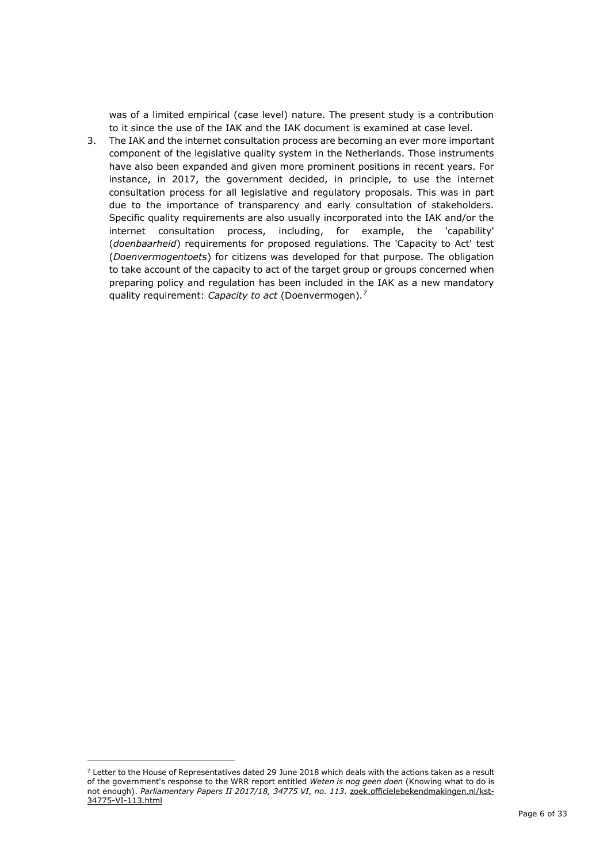was of a limited empirical (case level) nature. The present study is a contribution to it since the use of the IAK and the IAK document is examined at case level.

3. The IAK and the internet consultation process are becoming an ever more important component of the legislative quality system in the Netherlands. Those instruments have also been expanded and given more prominent positions in recent years. For instance, in 2017, the government decided, in principle, to use the internet consultation process for all legislative and regulatory proposals. This was in part due to the importance of transparency and early consultation of stakeholders. Specific quality requirements are also usually incorporated into the IAK and/or the internet consultation process, including, for example, the 'capability' (*doenbaarheid*) requirements for proposed regulations. The 'Capacity to Act' test (*Doenvermogentoets*) for citizens was developed for that purpose. The obligation to take account of the capacity to act of the target group or groups concerned when preparing policy and regulation has been included in the IAK as a new mandatory quality requirement: *Capacity to act* (Doenvermogen)*. 7*

 $7$  Letter to the House of Representatives dated 29 June 2018 which deals with the actions taken as a result of the government's response to the WRR report entitled *Weten is nog geen doen* (Knowing what to do is not enough). *Parliamentary Papers II 2017/18, 34775 VI, no. 113.* zoek.officielebekendmakingen.nl/kst-34775-VI-113.html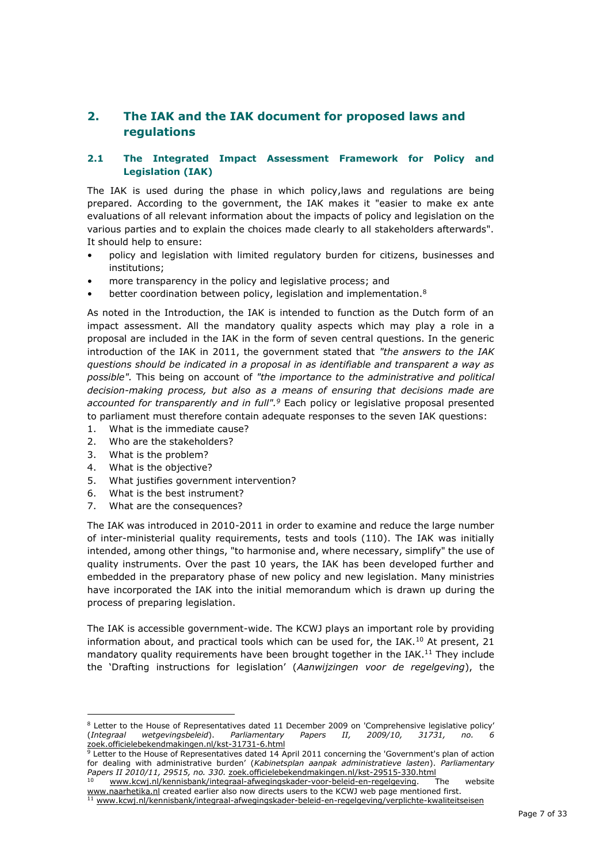# **2. The IAK and the IAK document for proposed laws and regulations**

### **2.1 The Integrated Impact Assessment Framework for Policy and Legislation (IAK)**

The IAK is used during the phase in which policy,laws and regulations are being prepared. According to the government, the IAK makes it "easier to make ex ante evaluations of all relevant information about the impacts of policy and legislation on the various parties and to explain the choices made clearly to all stakeholders afterwards". It should help to ensure:

- policy and legislation with limited regulatory burden for citizens, businesses and institutions;
- more transparency in the policy and legislative process; and
- better coordination between policy, legislation and implementation.<sup>8</sup>

As noted in the Introduction, the IAK is intended to function as the Dutch form of an impact assessment. All the mandatory quality aspects which may play a role in a proposal are included in the IAK in the form of seven central questions. In the generic introduction of the IAK in 2011, the government stated that *"the answers to the IAK questions should be indicated in a proposal in as identifiable and transparent a way as possible".* This being on account of *"the importance to the administrative and political decision-making process, but also as a means of ensuring that decisions made are accounted for transparently and in full".<sup>9</sup>* Each policy or legislative proposal presented to parliament must therefore contain adequate responses to the seven IAK questions:

- 1. [What is the immediate cause?](https://www.kcwj.nl/kennisbank/integraal-afwegingskader-beleid-en-regelgeving/1-wat-de-aanleiding)
- 2. [Who are the stakeholders?](https://www.kcwj.nl/kennisbank/integraal-afwegingskader-beleid-en-regelgeving/2-wie-zijn-betrokken)
- 3. [What is the problem?](https://www.kcwj.nl/kennisbank/integraal-afwegingskader-beleid-en-regelgeving/3-wat-het-probleem)
- 4. [What is the objective?](https://www.kcwj.nl/kennisbank/integraal-afwegingskader-beleid-en-regelgeving/4-wat-het-doel)
- 5. [What justifies government intervention?](https://www.kcwj.nl/kennisbank/integraal-afwegingskader-beleid-en-regelgeving/5-wat-rechtvaardigt-overheidsinterventie)
- 6. [What is the best instrument?](https://www.kcwj.nl/kennisbank/integraal-afwegingskader-beleid-en-regelgeving/6-wat-het-beste-instrument)
- 7. [What are the consequences?](https://www.kcwj.nl/kennisbank/integraal-afwegingskader-beleid-en-regelgeving/7-wat-zijn-de-gevolgen)

The IAK was introduced in 2010-2011 in order to examine and reduce the large number of inter-ministerial quality requirements, tests and tools (110). The IAK was initially intended, among other things, "to harmonise and, where necessary, simplify" the use of quality instruments. Over the past 10 years, the IAK has been developed further and embedded in the preparatory phase of new policy and new legislation. Many ministries have incorporated the IAK into the initial memorandum which is drawn up during the process of preparing legislation.

The IAK is accessible government-wide. The KCWJ plays an important role by providing information about, and practical tools which can be used for, the IAK.<sup>10</sup> At present, 21 mandatory quality requirements have been brought together in the IAK.<sup>11</sup> They include the 'Drafting instructions for legislation' (*Aanwijzingen voor de regelgeving*), the

<sup>&</sup>lt;sup>8</sup> Letter to the House of Representatives dated 11 December 2009 on 'Comprehensive legislative policy' (*Integraal wetgevingsbeleid*). *Parliamentary Papers II, 2009/10, 31731, no. [6](https://zoek.officielebekendmakingen.nl/kst-31731-6.html)* [zoek.officielebekendmakingen.nl/kst-31731-6.html](https://zoek.officielebekendmakingen.nl/kst-31731-6.html)

<sup>1</sup> Letter to the House of Representatives dated 14 April 2011 concerning the 'Government's plan of action for dealing with administrative burden' (*Kabinetsplan aanpak administratieve lasten*). *Parliamentary Papers II 2010/11, 29515, no. 330.* [zoek.officielebekendmakingen.nl/kst-29515-330.html](https://zoek.officielebekendmakingen.nl/kst-29515-330.html)

[www.kcwj.nl/kennisbank/integraal-afwegingskader-voor-beleid-en-regelgeving.](http://www.kcwj.nl/kennisbank/integraal-afwegingskader-voor-beleid-en-regelgeving) Th[e](http://www.naarhetika.nl/) website [www.naarhetika.nl](http://www.naarhetika.nl/) created earlier also now directs users to the KCWJ web page mentioned first.

<sup>11</sup> [www.kcwj.nl/kennisbank/integraal-afwegingskader-beleid-en-regelgeving/verplichte-kwaliteitseisen](http://www.kcwj.nl/kennisbank/integraal-afwegingskader-beleid-en-regelgeving/verplichte-kwaliteitseisen)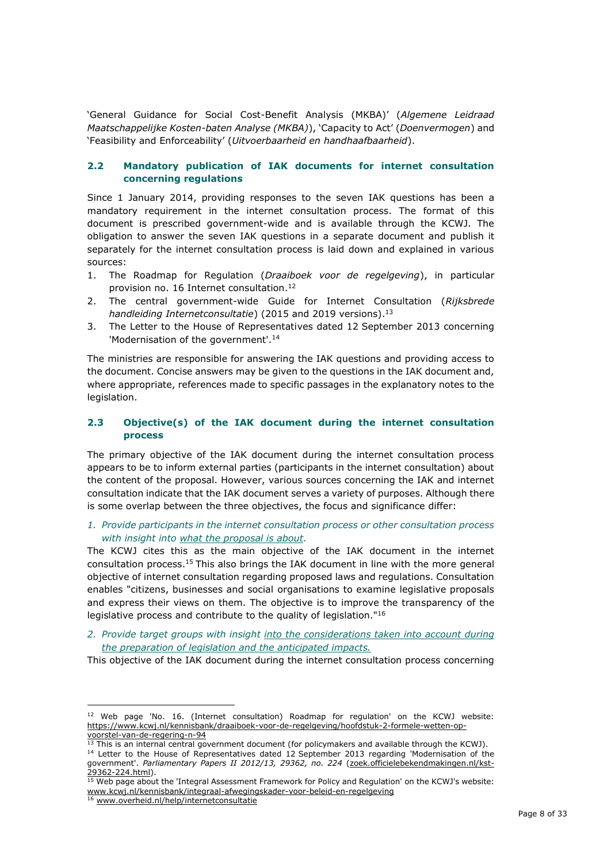'General Guidance for Social Cost-Benefit Analysis (MKBA)' (*Algemene Leidraad Maatschappelijke Kosten-baten Analyse (MKBA)*), 'Capacity to Act' (*Doenvermogen*) and 'Feasibility and Enforceability' (*Uitvoerbaarheid en handhaafbaarheid*).

### **2.2 Mandatory publication of IAK documents for internet consultation concerning regulations**

Since 1 January 2014, providing responses to the seven IAK questions has been a mandatory requirement in the internet consultation process. The format of this document is prescribed government-wide and is available through the KCWJ. The obligation to answer the seven IAK questions in a separate document and publish it separately for the internet consultation process is laid down and explained in various sources:

- 1. The Roadmap for Regulation (*Draaiboek voor de regelgeving*), in particular provision no. 16 Internet consultation. 12
- 2. The central government-wide Guide for Internet Consultation (*Rijksbrede handleiding Internetconsultatie*) (2015 and 2019 versions).<sup>13</sup>
- 3. The Letter to the House of Representatives dated 12 September 2013 concerning 'Modernisation of the government'.<sup>14</sup>

The ministries are responsible for answering the IAK questions and providing access to the document. Concise answers may be given to the questions in the IAK document and, where appropriate, references made to specific passages in the explanatory notes to the legislation.

#### **2.3 Objective(s) of the IAK document during the internet consultation process**

The primary objective of the IAK document during the internet consultation process appears to be to inform external parties (participants in the internet consultation) about the content of the proposal. However, various sources concerning the IAK and internet consultation indicate that the IAK document serves a variety of purposes. Although there is some overlap between the three objectives, the focus and significance differ:

*1. Provide participants in the internet consultation process or other consultation process with insight into what the proposal is about.*

The KCWJ cites this as the main objective of the IAK document in the internet consultation process.<sup>15</sup> This also brings the IAK document in line with the more general objective of internet consultation regarding proposed laws and regulations. Consultation enables "citizens, businesses and social organisations to examine legislative proposals and express their views on them. The objective is to improve the transparency of the legislative process and contribute to the quality of legislation."<sup>16</sup>

*2. Provide target groups with insight into the considerations taken into account during the preparation of legislation and the anticipated impacts.*

This objective of the IAK document during the internet consultation process concerning

<sup>12</sup> Web page 'No. 16. (Internet consultation) Roadmap for regulation' on the KCWJ website: [https://www.kcwj.nl/kennisbank/draaiboek-voor-de-regelgeving/hoofdstuk-2-formele-wetten-op](https://www.kcwj.nl/kennisbank/draaiboek-voor-de-regelgeving/hoofdstuk-2-formele-wetten-op-)[voorstel-van-de-regering-n-94](https://www.kcwj.nl/kennisbank/draaiboek-voor-de-regelgeving/hoofdstuk-2-formele-wetten-op-voorstel-van-de-regering-n-94)

 $13$  This is an internal central government document (for policymakers and available through the KCWJ).

<sup>&</sup>lt;sup>14</sup> Letter to the House of Representatives dated 12 September 2013 regarding 'Modernisation of the government'. Parliamentary Papers II 2012/13, 29362, no. 224 [\(zoek.officielebekendmakingen.nl/kst-](https://zoek.officielebekendmakingen.nl/kst-29362-224.html)[29362-224.html\).](https://zoek.officielebekendmakingen.nl/kst-29362-224.html)

<sup>&</sup>lt;sup>15</sup> Web page about the 'Integral Assessment Framework for Policy and Regulation' on the KCWJ's website: [www.kcwj.nl/kennisbank/integraal-afwegingskader-voor-beleid-en-regelgeving](http://www.kcwj.nl/kennisbank/integraal-afwegingskader-voor-beleid-en-regelgeving)

<sup>16</sup> [www.overheid.nl/help/internetconsultatie](http://www.overheid.nl/help/internetconsultatie)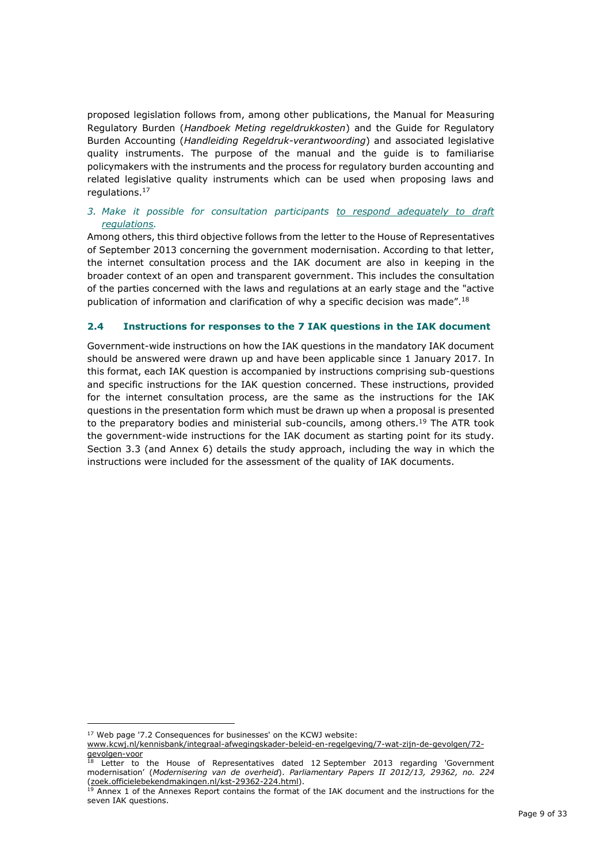proposed legislation follows from, among other publications, the Manual for Measuring Regulatory Burden (*Handboek Meting regeldrukkosten*) and the Guide for Regulatory Burden Accounting (*Handleiding Regeldruk-verantwoording*) and associated legislative quality instruments. The purpose of the manual and the guide is to familiarise policymakers with the instruments and the process for regulatory burden accounting and related legislative quality instruments which can be used when proposing laws and regulations.<sup>17</sup>

### *3. Make it possible for consultation participants to respond adequately to draft regulations.*

Among others, this third objective follows from the letter to the House of Representatives of September 2013 concerning the government modernisation. According to that letter, the internet consultation process and the IAK document are also in keeping in the broader context of an open and transparent government. This includes the consultation of the parties concerned with the laws and regulations at an early stage and the "active publication of information and clarification of why a specific decision was made".<sup>18</sup>

### **2.4 Instructions for responses to the 7 IAK questions in the IAK document**

Government-wide instructions on how the IAK questions in the mandatory IAK document should be answered were drawn up and have been applicable since 1 January 2017. In this format, each IAK question is accompanied by instructions comprising sub-questions and specific instructions for the IAK question concerned. These instructions, provided for the internet consultation process, are the same as the instructions for the IAK questions in the presentation form which must be drawn up when a proposal is presented to the preparatory bodies and ministerial sub-councils, among others.<sup>19</sup> The ATR took the government-wide instructions for the IAK document as starting point for its study. Section 3.3 (and Annex 6) details the study approach, including the way in which the instructions were included for the assessment of the quality of IAK documents.

<sup>17</sup> Web page '7.2 Consequences for businesses' on the KCWJ website: [www.kcwj.nl/kennisbank/integraal-afwegingskader-beleid-en-regelgeving/7-wat-zijn-de-gevolgen/72](http://www.kcwj.nl/kennisbank/integraal-afwegingskader-beleid-en-regelgeving/7-wat-zijn-de-gevolgen/72-gevolgen-voor) [gevolgen-voor](http://www.kcwj.nl/kennisbank/integraal-afwegingskader-beleid-en-regelgeving/7-wat-zijn-de-gevolgen/72-gevolgen-voorhttp:/www.kcwj.nl/kennisbank/integraal-afwegingskader-beleid-en-regelgeving/7-wat-zijn-de-gevolgen/72-gevolgen-voor)

Letter to the House of Representatives dated 12 September 2013 regarding 'Government modernisation' (*Modernisering van de overheid*). *Parliamentary Papers II 2012/13, 29362, no. 224*  [\(zoek.officielebekendmakingen.nl/kst-29362-224.html\).](https://zoek.officielebekendmakingen.nl/kst-29362-224.html)

<sup>&</sup>lt;sup>19</sup> Annex 1 of the Annexes Report contains the format of the IAK document and the instructions for the seven IAK questions.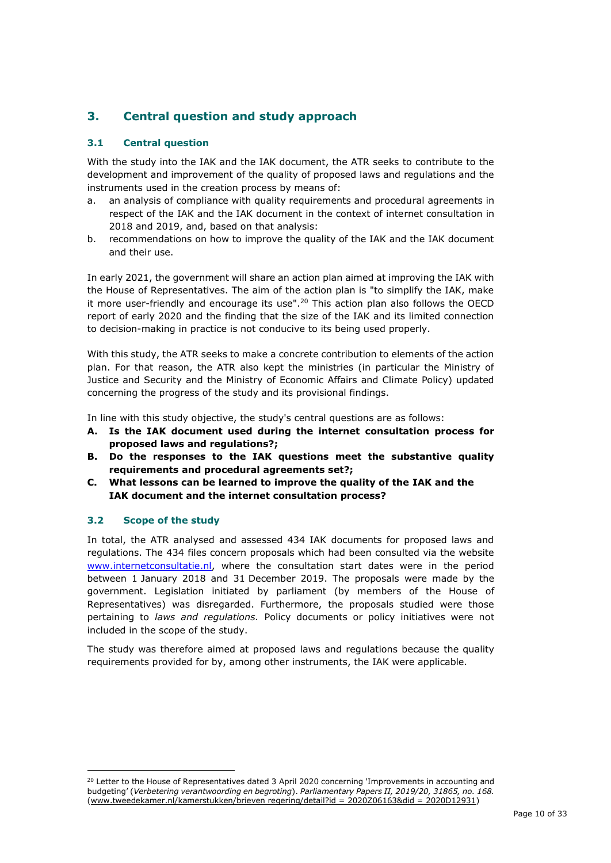# **3. Central question and study approach**

### **3.1 Central question**

With the study into the IAK and the IAK document, the ATR seeks to contribute to the development and improvement of the quality of proposed laws and regulations and the instruments used in the creation process by means of:

- a. an analysis of compliance with quality requirements and procedural agreements in respect of the IAK and the IAK document in the context of internet consultation in 2018 and 2019, and, based on that analysis:
- b. recommendations on how to improve the quality of the IAK and the IAK document and their use.

In early 2021, the government will share an action plan aimed at improving the IAK with the House of Representatives. The aim of the action plan is "to simplify the IAK, make it more user-friendly and encourage its use".<sup>20</sup> This action plan also follows the OECD report of early 2020 and the finding that the size of the IAK and its limited connection to decision-making in practice is not conducive to its being used properly.

With this study, the ATR seeks to make a concrete contribution to elements of the action plan. For that reason, the ATR also kept the ministries (in particular the Ministry of Justice and Security and the Ministry of Economic Affairs and Climate Policy) updated concerning the progress of the study and its provisional findings.

In line with this study objective, the study's central questions are as follows:

- **A. Is the IAK document used during the internet consultation process for proposed laws and regulations?;**
- **B. Do the responses to the IAK questions meet the substantive quality requirements and procedural agreements set?;**
- **C. What lessons can be learned to improve the quality of the IAK and the IAK document and the internet consultation process?**

### **3.2 Scope of the study**

In total, the ATR analysed and assessed 434 IAK documents for proposed laws and regulations. The 434 files concern proposals which had been consulted via the websit[e](http://www.internetconsultatie.nl/) [www.internetconsultatie.nl,](http://www.internetconsultatie.nl/) where the consultation start dates were in the period between 1 January 2018 and 31 December 2019. The proposals were made by the government. Legislation initiated by parliament (by members of the House of Representatives) was disregarded. Furthermore, the proposals studied were those pertaining to *laws and regulations.* Policy documents or policy initiatives were not included in the scope of the study.

The study was therefore aimed at proposed laws and regulations because the quality requirements provided for by, among other instruments, the IAK were applicable.

<sup>&</sup>lt;sup>20</sup> Letter to the House of Representatives dated 3 April 2020 concerning 'Improvements in accounting and budgeting' (*Verbetering verantwoording en begroting*). *Parliamentary Papers II, 2019/20, 31865, no. 168.* [\(www.tweedekamer.nl/kamerstukken/brieven regering/detail?id = 2020Z06163&did = 2020D12931\)](http://www.tweedekamer.nl/kamerstukken/brieven_regering/detail?id=2020Z06163&did=2020D12931)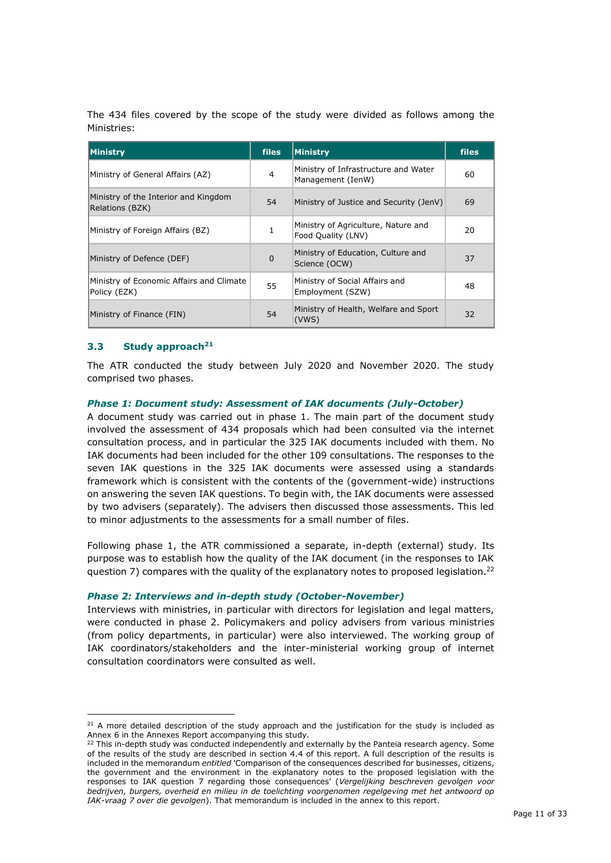The 434 files covered by the scope of the study were divided as follows among the Ministries:

| Ministry                                                 | <b>files</b> | Ministry                                                  | <b>files</b> |
|----------------------------------------------------------|--------------|-----------------------------------------------------------|--------------|
| Ministry of General Affairs (AZ)                         | 4            | Ministry of Infrastructure and Water<br>Management (IenW) | 60           |
| Ministry of the Interior and Kingdom<br>Relations (BZK)  | 54           | Ministry of Justice and Security (JenV)                   | 69           |
| Ministry of Foreign Affairs (BZ)                         |              | Ministry of Agriculture, Nature and<br>Food Quality (LNV) | 20           |
| Ministry of Defence (DEF)                                | 0            | Ministry of Education, Culture and<br>Science (OCW)       | 37           |
| Ministry of Economic Affairs and Climate<br>Policy (EZK) | 55           | Ministry of Social Affairs and<br>Employment (SZW)        | 48           |
| Ministry of Finance (FIN)                                | 54           | Ministry of Health, Welfare and Sport<br>(VWS)            | 32           |

#### **3.3 Study approach<sup>21</sup>**

The ATR conducted the study between July 2020 and November 2020. The study comprised two phases.

#### *Phase 1: Document study: Assessment of IAK documents (July-October)*

A document study was carried out in phase 1. The main part of the document study involved the assessment of 434 proposals which had been consulted via the internet consultation process, and in particular the 325 IAK documents included with them. No IAK documents had been included for the other 109 consultations. The responses to the seven IAK questions in the 325 IAK documents were assessed using a standards framework which is consistent with the contents of the (government-wide) instructions on answering the seven IAK questions. To begin with, the IAK documents were assessed by two advisers (separately). The advisers then discussed those assessments. This led to minor adjustments to the assessments for a small number of files.

Following phase 1, the ATR commissioned a separate, in-depth (external) study. Its purpose was to establish how the quality of the IAK document (in the responses to IAK question 7) compares with the quality of the explanatory notes to proposed legislation.<sup>22</sup>

#### *Phase 2: Interviews and in-depth study (October-November)*

Interviews with ministries, in particular with directors for legislation and legal matters, were conducted in phase 2. Policymakers and policy advisers from various ministries (from policy departments, in particular) were also interviewed. The working group of IAK coordinators/stakeholders and the inter-ministerial working group of internet consultation coordinators were consulted as well.

<sup>&</sup>lt;sup>21</sup> A more detailed description of the study approach and the justification for the study is included as Annex 6 in the Annexes Report accompanying this study.

<sup>&</sup>lt;sup>22</sup> This in-depth study was conducted independently and externally by the Panteia research agency. Some of the results of the study are described in section 4.4 of this report. A full description of the results is included in the memorandum *entitled* 'Comparison of the consequences described for businesses, citizens, the government and the environment in the explanatory notes to the proposed legislation with the responses to IAK question 7 regarding those consequences' (*Vergelijking beschreven gevolgen voor bedrijven, burgers, overheid en milieu in de toelichting voorgenomen regelgeving met het antwoord op IAK-vraag 7 over die gevolgen*). That memorandum is included in the annex to this report.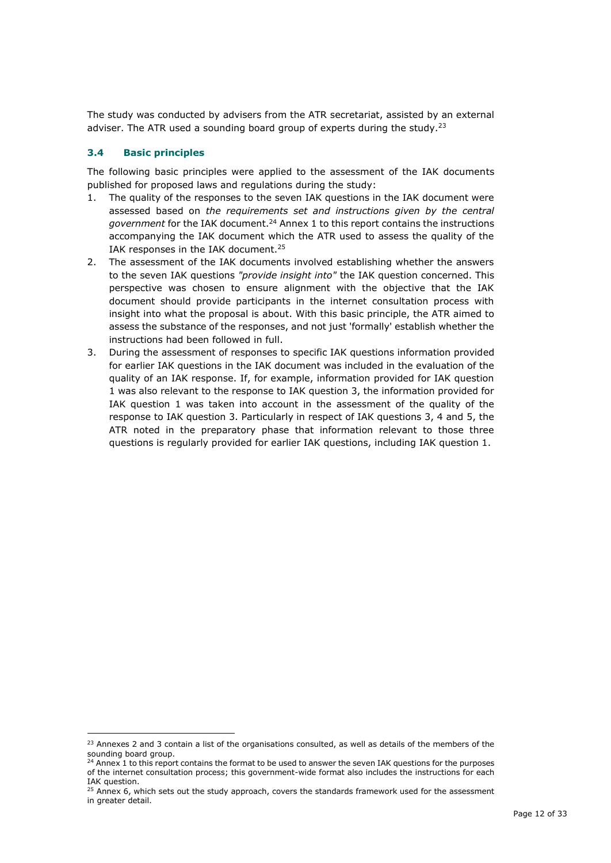The study was conducted by advisers from the ATR secretariat, assisted by an external adviser. The ATR used a sounding board group of experts during the study. $^{23}$ 

### **3.4 Basic principles**

The following basic principles were applied to the assessment of the IAK documents published for proposed laws and regulations during the study:

- 1. The quality of the responses to the seven IAK questions in the IAK document were assessed based on *the requirements set and instructions given by the central government* for the IAK document.<sup>24</sup> Annex 1 to this report contains the instructions accompanying the IAK document which the ATR used to assess the quality of the IAK responses in the IAK document.<sup>25</sup>
- 2. The assessment of the IAK documents involved establishing whether the answers to the seven IAK questions *"provide insight into"* the IAK question concerned. This perspective was chosen to ensure alignment with the objective that the IAK document should provide participants in the internet consultation process with insight into what the proposal is about. With this basic principle, the ATR aimed to assess the substance of the responses, and not just 'formally' establish whether the instructions had been followed in full.
- 3. During the assessment of responses to specific IAK questions information provided for earlier IAK questions in the IAK document was included in the evaluation of the quality of an IAK response. If, for example, information provided for IAK question 1 was also relevant to the response to IAK question 3, the information provided for IAK question 1 was taken into account in the assessment of the quality of the response to IAK question 3. Particularly in respect of IAK questions 3, 4 and 5, the ATR noted in the preparatory phase that information relevant to those three questions is regularly provided for earlier IAK questions, including IAK question 1.

<sup>&</sup>lt;sup>23</sup> Annexes 2 and 3 contain a list of the organisations consulted, as well as details of the members of the sounding board group.

<sup>&</sup>lt;sup>24</sup> Annex 1 to this report contains the format to be used to answer the seven IAK questions for the purposes of the internet consultation process; this government-wide format also includes the instructions for each IAK question.

 $25$  Annex 6, which sets out the study approach, covers the standards framework used for the assessment in greater detail.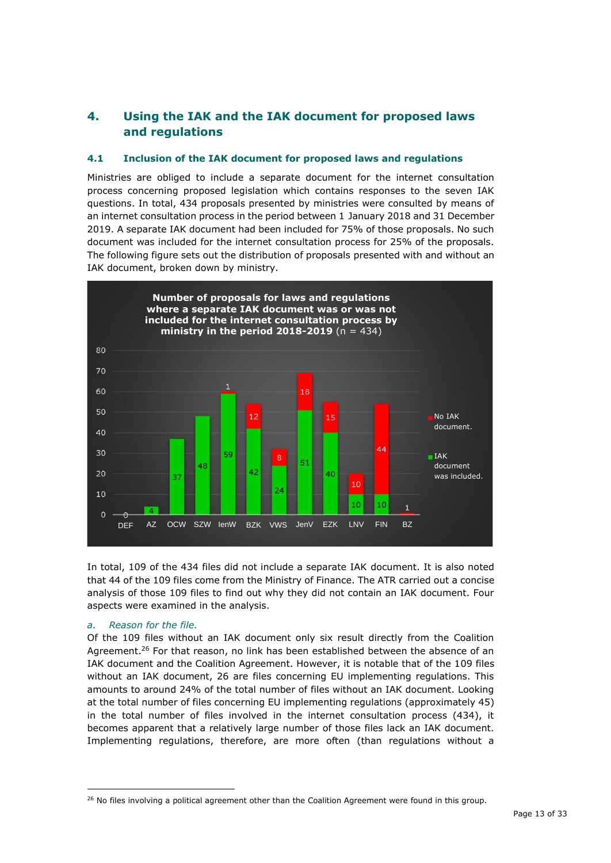# **4. Using the IAK and the IAK document for proposed laws and regulations**

### **4.1 Inclusion of the IAK document for proposed laws and regulations**

Ministries are obliged to include a separate document for the internet consultation process concerning proposed legislation which contains responses to the seven IAK questions. In total, 434 proposals presented by ministries were consulted by means of an internet consultation process in the period between 1 January 2018 and 31 December 2019. A separate IAK document had been included for 75% of those proposals. No such document was included for the internet consultation process for 25% of the proposals. The following figure sets out the distribution of proposals presented with and without an IAK document, broken down by ministry.



In total, 109 of the 434 files did not include a separate IAK document. It is also noted that 44 of the 109 files come from the Ministry of Finance. The ATR carried out a concise analysis of those 109 files to find out why they did not contain an IAK document. Four aspects were examined in the analysis.

#### *a. Reason for the file.*

Of the 109 files without an IAK document only six result directly from the Coalition Agreement.<sup>26</sup> For that reason, no link has been established between the absence of an IAK document and the Coalition Agreement. However, it is notable that of the 109 files without an IAK document, 26 are files concerning EU implementing regulations. This amounts to around 24% of the total number of files without an IAK document. Looking at the total number of files concerning EU implementing regulations (approximately 45) in the total number of files involved in the internet consultation process (434), it becomes apparent that a relatively large number of those files lack an IAK document. Implementing regulations, therefore, are more often (than regulations without a

<sup>&</sup>lt;sup>26</sup> No files involving a political agreement other than the Coalition Agreement were found in this group.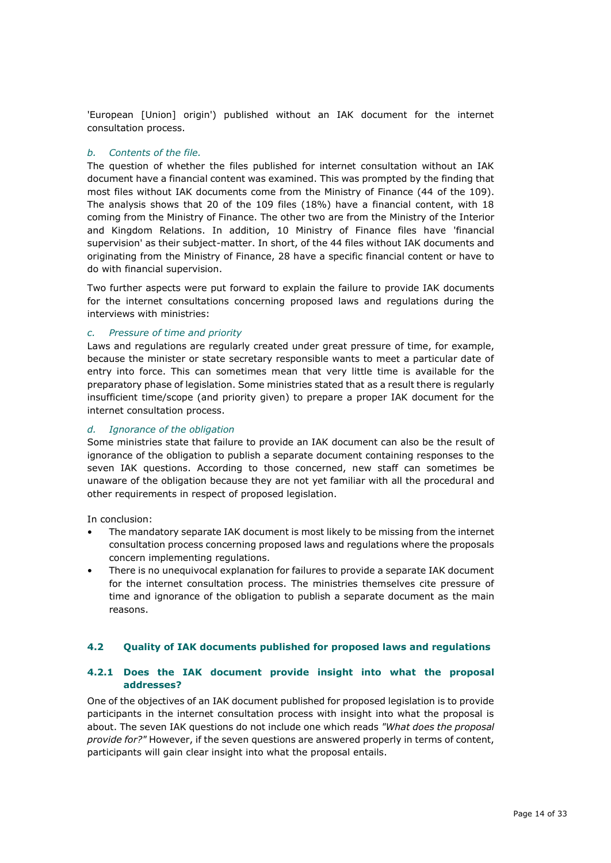'European [Union] origin') published without an IAK document for the internet consultation process.

#### *b. Contents of the file.*

The question of whether the files published for internet consultation without an IAK document have a financial content was examined. This was prompted by the finding that most files without IAK documents come from the Ministry of Finance (44 of the 109). The analysis shows that 20 of the 109 files (18%) have a financial content, with 18 coming from the Ministry of Finance. The other two are from the Ministry of the Interior and Kingdom Relations. In addition, 10 Ministry of Finance files have 'financial supervision' as their subject-matter. In short, of the 44 files without IAK documents and originating from the Ministry of Finance, 28 have a specific financial content or have to do with financial supervision.

Two further aspects were put forward to explain the failure to provide IAK documents for the internet consultations concerning proposed laws and regulations during the interviews with ministries:

### *c. Pressure of time and priority*

Laws and regulations are regularly created under great pressure of time, for example, because the minister or state secretary responsible wants to meet a particular date of entry into force. This can sometimes mean that very little time is available for the preparatory phase of legislation. Some ministries stated that as a result there is regularly insufficient time/scope (and priority given) to prepare a proper IAK document for the internet consultation process.

#### *d. Ignorance of the obligation*

Some ministries state that failure to provide an IAK document can also be the result of ignorance of the obligation to publish a separate document containing responses to the seven IAK questions. According to those concerned, new staff can sometimes be unaware of the obligation because they are not yet familiar with all the procedural and other requirements in respect of proposed legislation.

In conclusion:

- The mandatory separate IAK document is most likely to be missing from the internet consultation process concerning proposed laws and regulations where the proposals concern implementing regulations.
- There is no unequivocal explanation for failures to provide a separate IAK document for the internet consultation process. The ministries themselves cite pressure of time and ignorance of the obligation to publish a separate document as the main reasons.

#### **4.2 Quality of IAK documents published for proposed laws and regulations**

### **4.2.1 Does the IAK document provide insight into what the proposal addresses?**

One of the objectives of an IAK document published for proposed legislation is to provide participants in the internet consultation process with insight into what the proposal is about. The seven IAK questions do not include one which reads *"What does the proposal provide for?"* However, if the seven questions are answered properly in terms of content, participants will gain clear insight into what the proposal entails.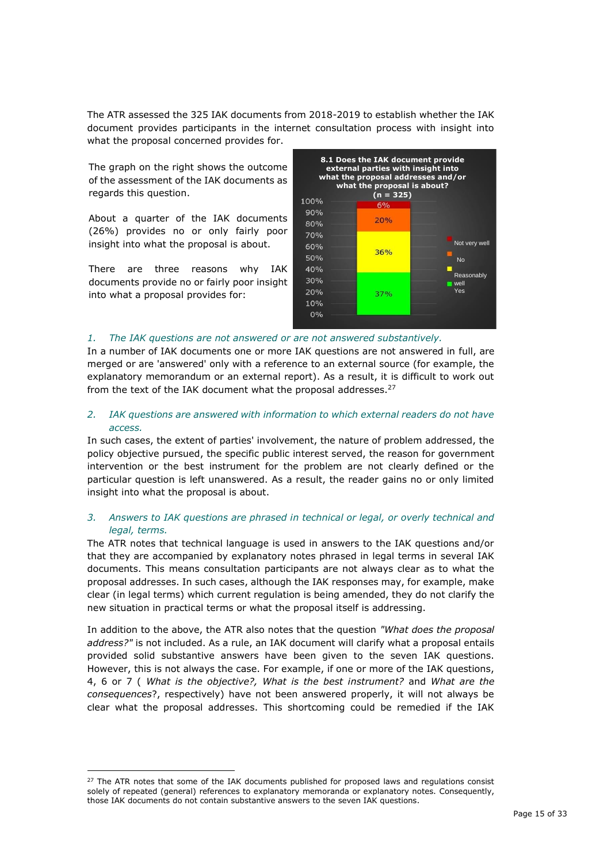The ATR assessed the 325 IAK documents from 2018-2019 to establish whether the IAK document provides participants in the internet consultation process with insight into what the proposal concerned provides for.

The graph on the right shows the outcome of the assessment of the IAK documents as regards this question.

About a quarter of the IAK documents (26%) provides no or only fairly poor insight into what the proposal is about.

There are three reasons why IAK documents provide no or fairly poor insight into what a proposal provides for:



#### *1. The IAK questions are not answered or are not answered substantively.*

In a number of IAK documents one or more IAK questions are not answered in full, are merged or are 'answered' only with a reference to an external source (for example, the explanatory memorandum or an external report). As a result, it is difficult to work out from the text of the IAK document what the proposal addresses.<sup>27</sup>

#### *2. IAK questions are answered with information to which external readers do not have access.*

In such cases, the extent of parties' involvement, the nature of problem addressed, the policy objective pursued, the specific public interest served, the reason for government intervention or the best instrument for the problem are not clearly defined or the particular question is left unanswered. As a result, the reader gains no or only limited insight into what the proposal is about.

### *3. Answers to IAK questions are phrased in technical or legal, or overly technical and legal, terms.*

The ATR notes that technical language is used in answers to the IAK questions and/or that they are accompanied by explanatory notes phrased in legal terms in several IAK documents. This means consultation participants are not always clear as to what the proposal addresses. In such cases, although the IAK responses may, for example, make clear (in legal terms) which current regulation is being amended, they do not clarify the new situation in practical terms or what the proposal itself is addressing.

In addition to the above, the ATR also notes that the question *"What does the proposal address?"* is not included. As a rule, an IAK document will clarify what a proposal entails provided solid substantive answers have been given to the seven IAK questions. However, this is not always the case. For example, if one or more of the IAK questions, 4, 6 or 7 ( *What is the objective?, What is the best instrument?* and *What are the consequences*?, respectively) have not been answered properly, it will not always be clear what the proposal addresses. This shortcoming could be remedied if the IAK

<sup>&</sup>lt;sup>27</sup> The ATR notes that some of the IAK documents published for proposed laws and requlations consist solely of repeated (general) references to explanatory memoranda or explanatory notes. Consequently, those IAK documents do not contain substantive answers to the seven IAK questions.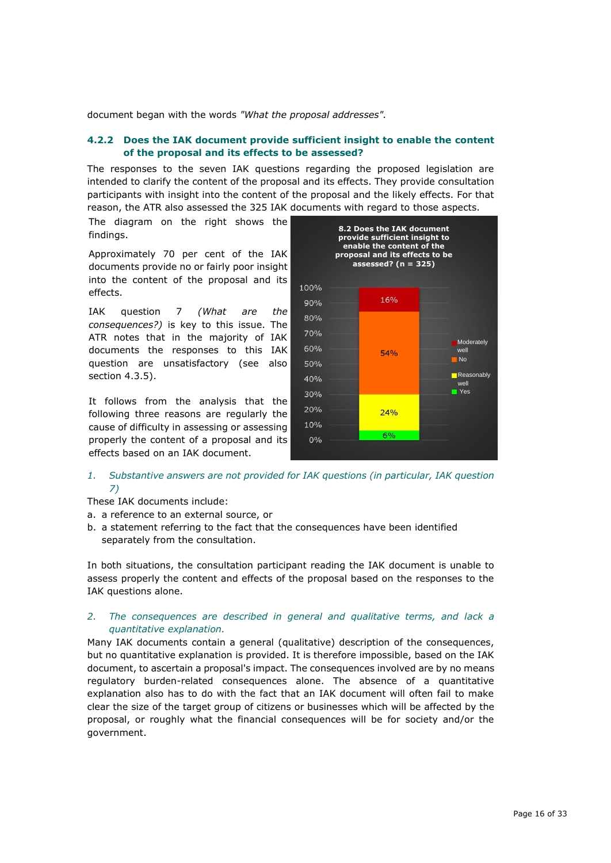document began with the words *"What the proposal addresses".*

#### **4.2.2 Does the IAK document provide sufficient insight to enable the content of the proposal and its effects to be assessed?**

The responses to the seven IAK questions regarding the proposed legislation are intended to clarify the content of the proposal and its effects. They provide consultation participants with insight into the content of the proposal and the likely effects. For that reason, the ATR also assessed the 325 IAK documents with regard to those aspects.

The diagram on the right shows the findings.

Approximately 70 per cent of the IAK documents provide no or fairly poor insight into the content of the proposal and its effects.

IAK question 7 *(What are the consequences?)* is key to this issue. The ATR notes that in the majority of IAK documents the responses to this IAK question are unsatisfactory (see also section 4.3.5).

It follows from the analysis that the following three reasons are regularly the cause of difficulty in assessing or assessing properly the content of a proposal and its effects based on an IAK document.



*1. Substantive answers are not provided for IAK questions (in particular, IAK question 7)*

These IAK documents include:

- a. a reference to an external source, or
- b. a statement referring to the fact that the consequences have been identified separately from the consultation.

In both situations, the consultation participant reading the IAK document is unable to assess properly the content and effects of the proposal based on the responses to the IAK questions alone.

#### *2. The consequences are described in general and qualitative terms, and lack a quantitative explanation.*

Many IAK documents contain a general (qualitative) description of the consequences, but no quantitative explanation is provided. It is therefore impossible, based on the IAK document, to ascertain a proposal's impact. The consequences involved are by no means regulatory burden-related consequences alone. The absence of a quantitative explanation also has to do with the fact that an IAK document will often fail to make clear the size of the target group of citizens or businesses which will be affected by the proposal, or roughly what the financial consequences will be for society and/or the government.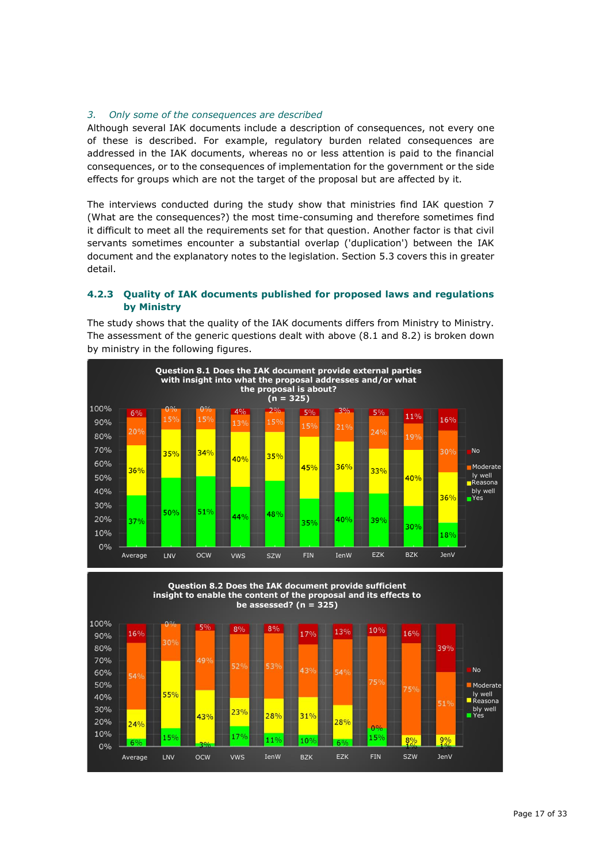#### *3. Only some of the consequences are described*

Although several IAK documents include a description of consequences, not every one of these is described. For example, regulatory burden related consequences are addressed in the IAK documents, whereas no or less attention is paid to the financial consequences, or to the consequences of implementation for the government or the side effects for groups which are not the target of the proposal but are affected by it.

The interviews conducted during the study show that ministries find IAK question 7 (What are the consequences?) the most time-consuming and therefore sometimes find it difficult to meet all the requirements set for that question. Another factor is that civil servants sometimes encounter a substantial overlap ('duplication') between the IAK document and the explanatory notes to the legislation. Section 5.3 covers this in greater detail.

### **4.2.3 Quality of IAK documents published for proposed laws and regulations by Ministry**

The study shows that the quality of the IAK documents differs from Ministry to Ministry. The assessment of the generic questions dealt with above (8.1 and 8.2) is broken down by ministry in the following figures.



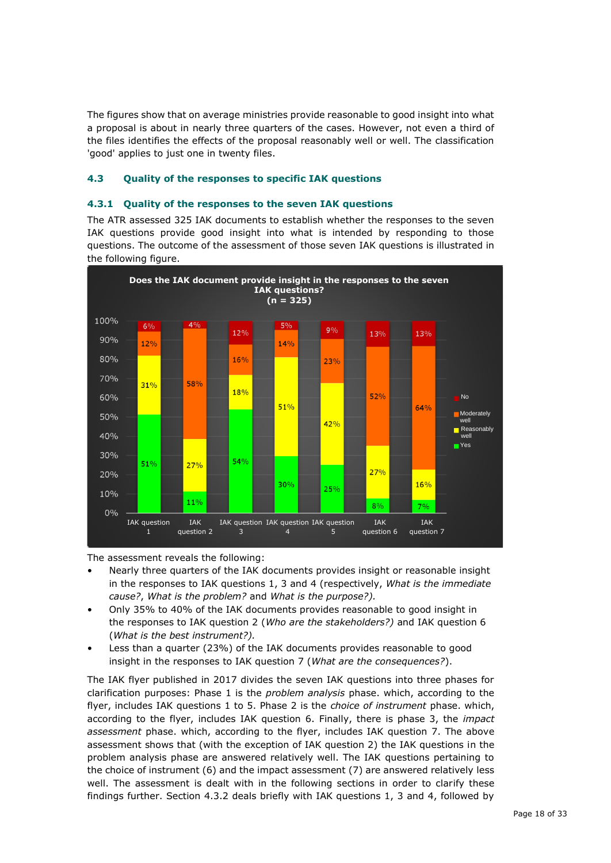The figures show that on average ministries provide reasonable to good insight into what a proposal is about in nearly three quarters of the cases. However, not even a third of the files identifies the effects of the proposal reasonably well or well. The classification 'good' applies to just one in twenty files.

### **4.3 Quality of the responses to specific IAK questions**

#### **4.3.1 Quality of the responses to the seven IAK questions**

The ATR assessed 325 IAK documents to establish whether the responses to the seven IAK questions provide good insight into what is intended by responding to those questions. The outcome of the assessment of those seven IAK questions is illustrated in the following figure.



The assessment reveals the following:

- Nearly three quarters of the IAK documents provides insight or reasonable insight in the responses to IAK questions 1, 3 and 4 (respectively, *What is the immediate cause?*, *What is the problem?* and *What is the purpose?).*
- Only 35% to 40% of the IAK documents provides reasonable to good insight in the responses to IAK question 2 (*Who are the stakeholders?)* and IAK question 6 (*What is the best instrument?).*
- Less than a quarter (23%) of the IAK documents provides reasonable to good insight in the responses to IAK question 7 (*What are the consequences?*).

The IAK flyer published in 2017 divides the seven IAK questions into three phases for clarification purposes: Phase 1 is the *problem analysis* phase. which, according to the flyer, includes IAK questions 1 to 5. Phase 2 is the *choice of instrument* phase. which, according to the flyer, includes IAK question 6. Finally, there is phase 3, the *impact assessment* phase. which, according to the flyer, includes IAK question 7. The above assessment shows that (with the exception of IAK question 2) the IAK questions in the problem analysis phase are answered relatively well. The IAK questions pertaining to the choice of instrument (6) and the impact assessment (7) are answered relatively less well. The assessment is dealt with in the following sections in order to clarify these findings further. Section 4.3.2 deals briefly with IAK questions 1, 3 and 4, followed by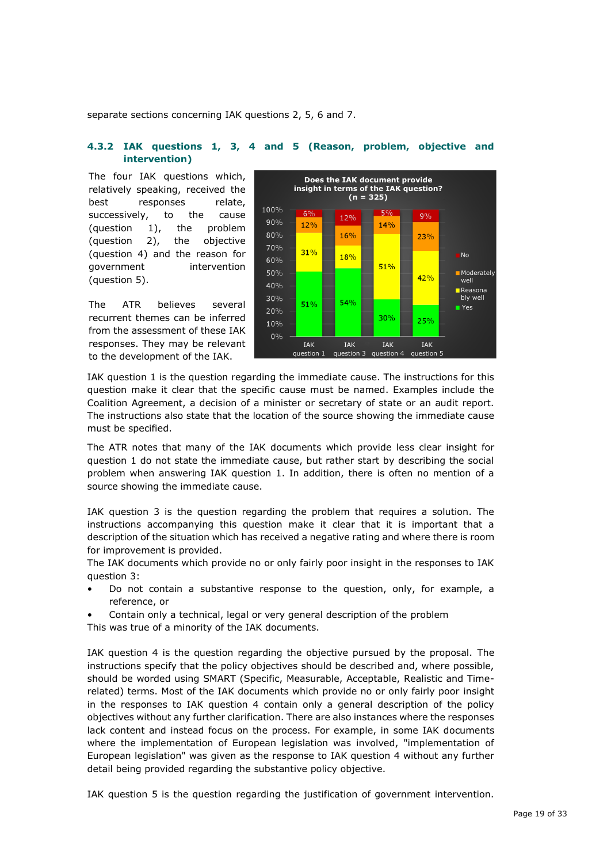separate sections concerning IAK questions 2, 5, 6 and 7.

#### **4.3.2 IAK questions 1, 3, 4 and 5 (Reason, problem, objective and intervention)**

The four IAK questions which, relatively speaking, received the best responses relate, successively, to the cause (question 1), the problem (question 2), the objective (question 4) and the reason for government intervention (question 5).

The ATR believes several recurrent themes can be inferred from the assessment of these IAK responses. They may be relevant to the development of the IAK.



IAK question 1 is the question regarding the immediate cause. The instructions for this question make it clear that the specific cause must be named. Examples include the Coalition Agreement, a decision of a minister or secretary of state or an audit report. The instructions also state that the location of the source showing the immediate cause must be specified.

The ATR notes that many of the IAK documents which provide less clear insight for question 1 do not state the immediate cause, but rather start by describing the social problem when answering IAK question 1. In addition, there is often no mention of a source showing the immediate cause.

IAK question 3 is the question regarding the problem that requires a solution. The instructions accompanying this question make it clear that it is important that a description of the situation which has received a negative rating and where there is room for improvement is provided.

The IAK documents which provide no or only fairly poor insight in the responses to IAK question 3:

- Do not contain a substantive response to the question, only, for example, a reference, or
- Contain only a technical, legal or very general description of the problem

This was true of a minority of the IAK documents.

IAK question 4 is the question regarding the objective pursued by the proposal. The instructions specify that the policy objectives should be described and, where possible, should be worded using SMART (Specific, Measurable, Acceptable, Realistic and Timerelated) terms. Most of the IAK documents which provide no or only fairly poor insight in the responses to IAK question 4 contain only a general description of the policy objectives without any further clarification. There are also instances where the responses lack content and instead focus on the process. For example, in some IAK documents where the implementation of European legislation was involved, "implementation of European legislation" was given as the response to IAK question 4 without any further detail being provided regarding the substantive policy objective.

IAK question 5 is the question regarding the justification of government intervention.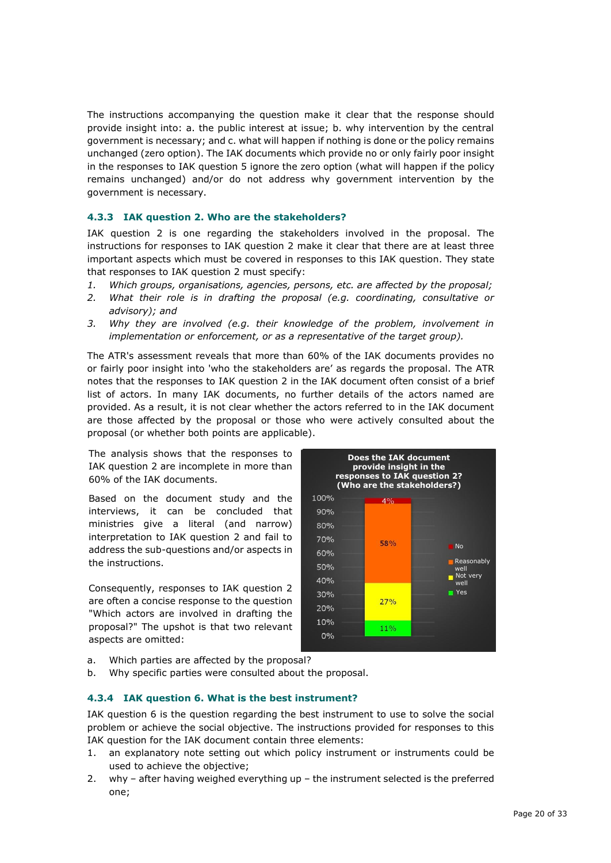The instructions accompanying the question make it clear that the response should provide insight into: a. the public interest at issue; b. why intervention by the central government is necessary; and c. what will happen if nothing is done or the policy remains unchanged (zero option). The IAK documents which provide no or only fairly poor insight in the responses to IAK question 5 ignore the zero option (what will happen if the policy remains unchanged) and/or do not address why government intervention by the government is necessary.

### **4.3.3 IAK question 2. Who are the stakeholders?**

IAK question 2 is one regarding the stakeholders involved in the proposal. The instructions for responses to IAK question 2 make it clear that there are at least three important aspects which must be covered in responses to this IAK question. They state that responses to IAK question 2 must specify:

- *1. Which groups, organisations, agencies, persons, etc. are affected by the proposal;*
- *2. What their role is in drafting the proposal (e.g. coordinating, consultative or advisory); and*
- *3. Why they are involved (e.g. their knowledge of the problem, involvement in implementation or enforcement, or as a representative of the target group).*

The ATR's assessment reveals that more than 60% of the IAK documents provides no or fairly poor insight into 'who the stakeholders are' as regards the proposal. The ATR notes that the responses to IAK question 2 in the IAK document often consist of a brief list of actors. In many IAK documents, no further details of the actors named are provided. As a result, it is not clear whether the actors referred to in the IAK document are those affected by the proposal or those who were actively consulted about the proposal (or whether both points are applicable).

The analysis shows that the responses to IAK question 2 are incomplete in more than 60% of the IAK documents.

Based on the document study and the interviews, it can be concluded that ministries give a literal (and narrow) interpretation to IAK question 2 and fail to address the sub-questions and/or aspects in the instructions.

Consequently, responses to IAK question 2 are often a concise response to the question "Which actors are involved in drafting the proposal?" The upshot is that two relevant aspects are omitted:



- a. Which parties are affected by the proposal?
- b. Why specific parties were consulted about the proposal.

#### **4.3.4 IAK question 6. What is the best instrument?**

IAK question 6 is the question regarding the best instrument to use to solve the social problem or achieve the social objective. The instructions provided for responses to this IAK question for the IAK document contain three elements:

- 1. an explanatory note setting out which policy instrument or instruments could be used to achieve the objective;
- 2. why after having weighed everything up the instrument selected is the preferred one;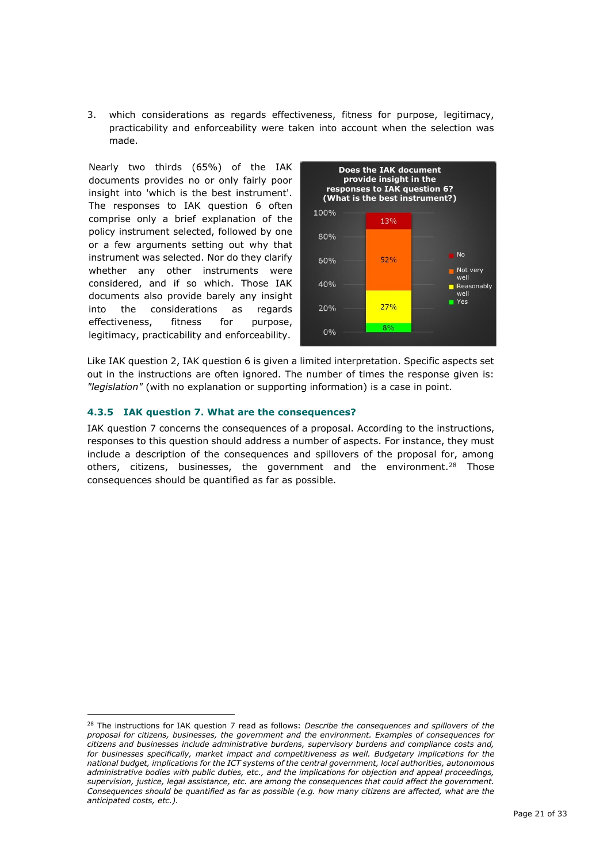3. which considerations as regards effectiveness, fitness for purpose, legitimacy, practicability and enforceability were taken into account when the selection was made.

Nearly two thirds (65%) of the IAK documents provides no or only fairly poor insight into 'which is the best instrument'. The responses to IAK question 6 often comprise only a brief explanation of the policy instrument selected, followed by one or a few arguments setting out why that instrument was selected. Nor do they clarify whether any other instruments were considered, and if so which. Those IAK documents also provide barely any insight into the considerations as regards effectiveness, fitness for purpose, legitimacy, practicability and enforceability.



Like IAK question 2, IAK question 6 is given a limited interpretation. Specific aspects set out in the instructions are often ignored. The number of times the response given is: *"legislation"* (with no explanation or supporting information) is a case in point.

#### **4.3.5 IAK question 7. What are the consequences?**

IAK question 7 concerns the consequences of a proposal. According to the instructions, responses to this question should address a number of aspects. For instance, they must include a description of the consequences and spillovers of the proposal for, among others, citizens, businesses, the government and the environment.<sup>28</sup> Those consequences should be quantified as far as possible.

<sup>28</sup> The instructions for IAK question 7 read as follows: *Describe the consequences and spillovers of the proposal for citizens, businesses, the government and the environment. Examples of consequences for citizens and businesses include administrative burdens, supervisory burdens and compliance costs and, for businesses specifically, market impact and competitiveness as well. Budgetary implications for the national budget, implications for the ICT systems of the central government, local authorities, autonomous administrative bodies with public duties, etc., and the implications for objection and appeal proceedings, supervision, justice, legal assistance, etc. are among the consequences that could affect the government. Consequences should be quantified as far as possible (e.g. how many citizens are affected, what are the anticipated costs, etc.).*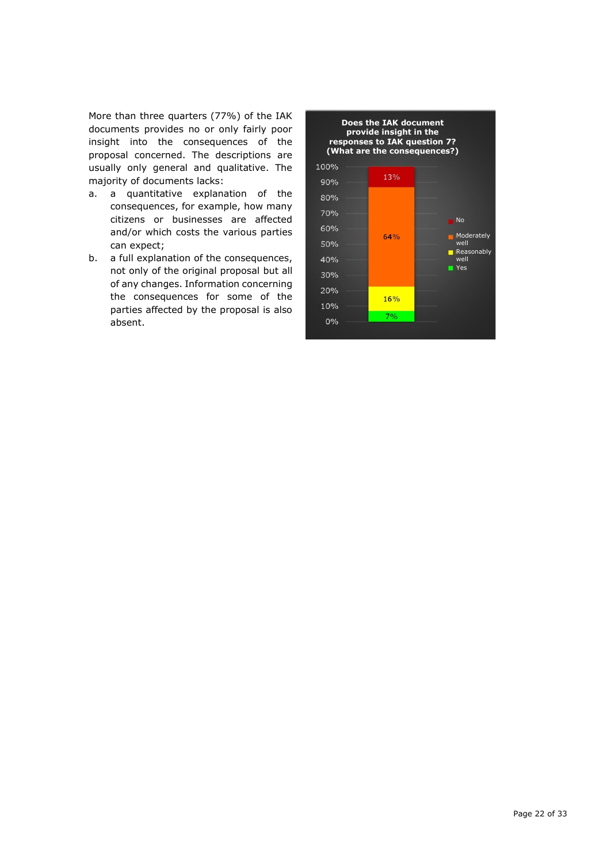More than three quarters (77%) of the IAK documents provides no or only fairly poor insight into the consequences of the proposal concerned. The descriptions are usually only general and qualitative. The majority of documents lacks:

- a. a quantitative explanation of the consequences, for example, how many citizens or businesses are affected and/or which costs the various parties can expect;
- b. a full explanation of the consequences, not only of the original proposal but all of any changes. Information concerning the consequences for some of the parties affected by the proposal is also absent.

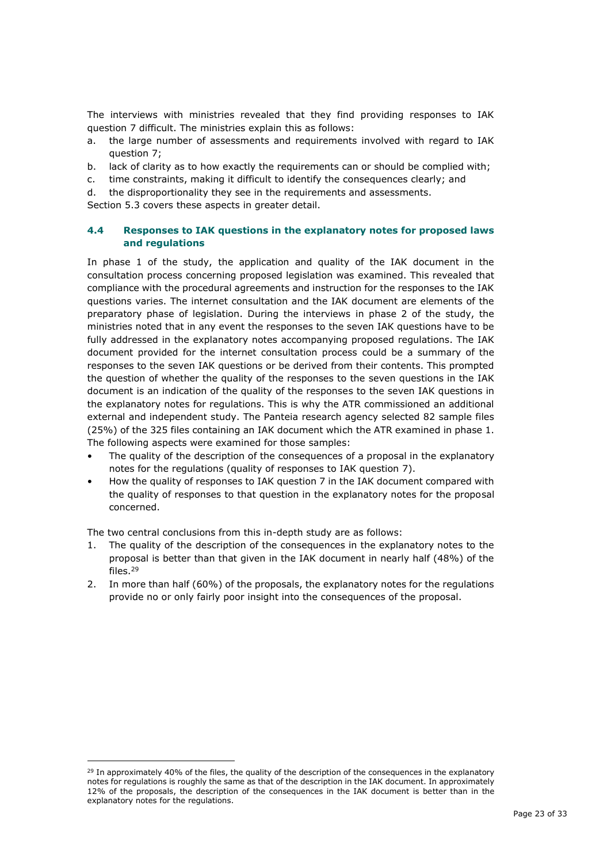The interviews with ministries revealed that they find providing responses to IAK question 7 difficult. The ministries explain this as follows:

- a. the large number of assessments and requirements involved with regard to IAK question 7;
- b. lack of clarity as to how exactly the requirements can or should be complied with;
- c. time constraints, making it difficult to identify the consequences clearly; and
- d. the disproportionality they see in the requirements and assessments.

Section 5.3 covers these aspects in greater detail.

### **4.4 Responses to IAK questions in the explanatory notes for proposed laws and regulations**

In phase 1 of the study, the application and quality of the IAK document in the consultation process concerning proposed legislation was examined. This revealed that compliance with the procedural agreements and instruction for the responses to the IAK questions varies. The internet consultation and the IAK document are elements of the preparatory phase of legislation. During the interviews in phase 2 of the study, the ministries noted that in any event the responses to the seven IAK questions have to be fully addressed in the explanatory notes accompanying proposed regulations. The IAK document provided for the internet consultation process could be a summary of the responses to the seven IAK questions or be derived from their contents. This prompted the question of whether the quality of the responses to the seven questions in the IAK document is an indication of the quality of the responses to the seven IAK questions in the explanatory notes for regulations. This is why the ATR commissioned an additional external and independent study. The Panteia research agency selected 82 sample files (25%) of the 325 files containing an IAK document which the ATR examined in phase 1. The following aspects were examined for those samples:

- The quality of the description of the consequences of a proposal in the explanatory notes for the regulations (quality of responses to IAK question 7).
- How the quality of responses to IAK question 7 in the IAK document compared with the quality of responses to that question in the explanatory notes for the proposal concerned.

The two central conclusions from this in-depth study are as follows:

- 1. The quality of the description of the consequences in the explanatory notes to the proposal is better than that given in the IAK document in nearly half (48%) of the files.<sup>29</sup>
- 2. In more than half (60%) of the proposals, the explanatory notes for the regulations provide no or only fairly poor insight into the consequences of the proposal.

<sup>&</sup>lt;sup>29</sup> In approximately 40% of the files, the quality of the description of the consequences in the explanatory notes for regulations is roughly the same as that of the description in the IAK document. In approximately 12% of the proposals, the description of the consequences in the IAK document is better than in the explanatory notes for the regulations.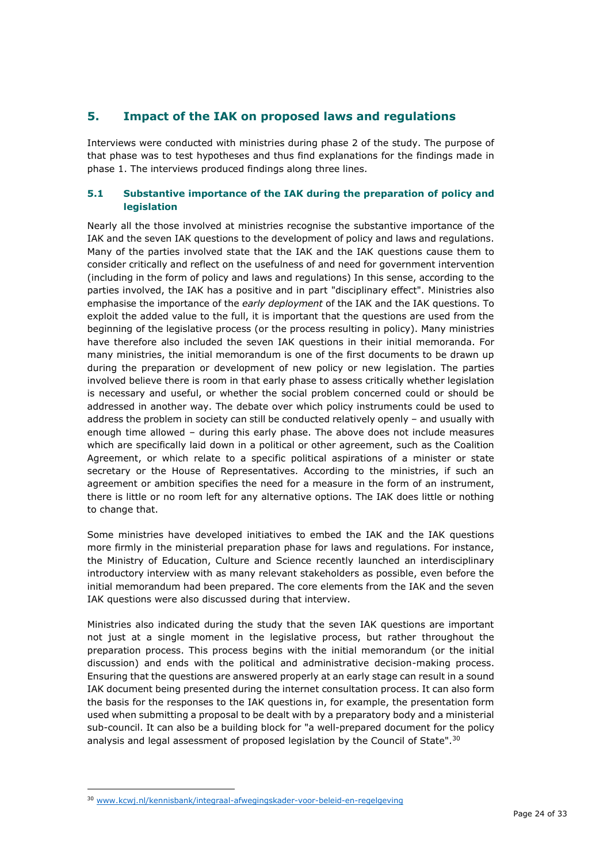## **5. Impact of the IAK on proposed laws and regulations**

Interviews were conducted with ministries during phase 2 of the study. The purpose of that phase was to test hypotheses and thus find explanations for the findings made in phase 1. The interviews produced findings along three lines.

### **5.1 Substantive importance of the IAK during the preparation of policy and legislation**

Nearly all the those involved at ministries recognise the substantive importance of the IAK and the seven IAK questions to the development of policy and laws and regulations. Many of the parties involved state that the IAK and the IAK questions cause them to consider critically and reflect on the usefulness of and need for government intervention (including in the form of policy and laws and regulations) In this sense, according to the parties involved, the IAK has a positive and in part "disciplinary effect". Ministries also emphasise the importance of the *early deployment* of the IAK and the IAK questions. To exploit the added value to the full, it is important that the questions are used from the beginning of the legislative process (or the process resulting in policy). Many ministries have therefore also included the seven IAK questions in their initial memoranda. For many ministries, the initial memorandum is one of the first documents to be drawn up during the preparation or development of new policy or new legislation. The parties involved believe there is room in that early phase to assess critically whether legislation is necessary and useful, or whether the social problem concerned could or should be addressed in another way. The debate over which policy instruments could be used to address the problem in society can still be conducted relatively openly – and usually with enough time allowed – during this early phase. The above does not include measures which are specifically laid down in a political or other agreement, such as the Coalition Agreement, or which relate to a specific political aspirations of a minister or state secretary or the House of Representatives. According to the ministries, if such an agreement or ambition specifies the need for a measure in the form of an instrument, there is little or no room left for any alternative options. The IAK does little or nothing to change that.

Some ministries have developed initiatives to embed the IAK and the IAK questions more firmly in the ministerial preparation phase for laws and regulations. For instance, the Ministry of Education, Culture and Science recently launched an interdisciplinary introductory interview with as many relevant stakeholders as possible, even before the initial memorandum had been prepared. The core elements from the IAK and the seven IAK questions were also discussed during that interview.

Ministries also indicated during the study that the seven IAK questions are important not just at a single moment in the legislative process, but rather throughout the preparation process. This process begins with the initial memorandum (or the initial discussion) and ends with the political and administrative decision-making process. Ensuring that the questions are answered properly at an early stage can result in a sound IAK document being presented during the internet consultation process. It can also form the basis for the responses to the IAK questions in, for example, the presentation form used when submitting a proposal to be dealt with by a preparatory body and a ministerial sub-council. It can also be a building block for "a well-prepared document for the policy analysis and legal assessment of proposed legislation by the Council of State".<sup>30</sup>

<sup>30</sup> [www.kcwj.nl/kennisbank/integraal-afwegingskader-voor-beleid-en-regelgeving](http://www.kcwj.nl/kennisbank/integraal-afwegingskader-voor-beleid-en-regelgeving)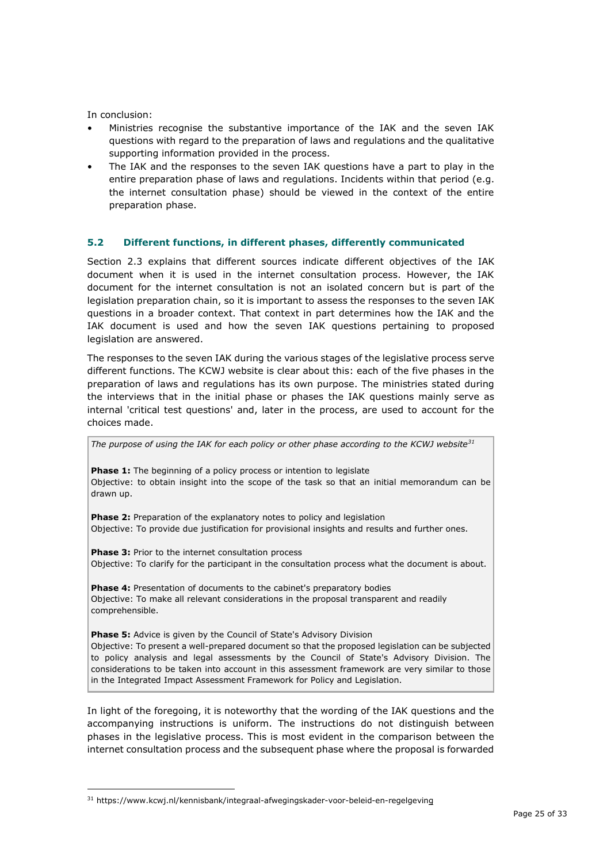In conclusion:

- Ministries recognise the substantive importance of the IAK and the seven IAK questions with regard to the preparation of laws and regulations and the qualitative supporting information provided in the process.
- The IAK and the responses to the seven IAK questions have a part to play in the entire preparation phase of laws and regulations. Incidents within that period (e.g. the internet consultation phase) should be viewed in the context of the entire preparation phase.

### **5.2 Different functions, in different phases, differently communicated**

Section 2.3 explains that different sources indicate different objectives of the IAK document when it is used in the internet consultation process. However, the IAK document for the internet consultation is not an isolated concern but is part of the legislation preparation chain, so it is important to assess the responses to the seven IAK questions in a broader context. That context in part determines how the IAK and the IAK document is used and how the seven IAK questions pertaining to proposed legislation are answered.

The responses to the seven IAK during the various stages of the legislative process serve different functions. The KCWJ website is clear about this: each of the five phases in the preparation of laws and regulations has its own purpose. The ministries stated during the interviews that in the initial phase or phases the IAK questions mainly serve as internal 'critical test questions' and, later in the process, are used to account for the choices made.

**Phase 1:** The beginning of a policy process or intention to legislate Objective: to obtain insight into the scope of the task so that an initial memorandum can be drawn up.

*The purpose of using the IAK for each policy or other phase according to the KCWJ website<sup>31</sup>*

**Phase 2:** Preparation of the explanatory notes to policy and legislation Objective: To provide due justification for provisional insights and results and further ones.

**Phase 3:** Prior to the internet consultation process Objective: To clarify for the participant in the consultation process what the document is about.

**Phase 4:** Presentation of documents to the cabinet's preparatory bodies Objective: To make all relevant considerations in the proposal transparent and readily comprehensible.

**Phase 5:** Advice is given by the Council of State's Advisory Division Objective: To present a well-prepared document so that the proposed legislation can be subjected to policy analysis and legal assessments by the Council of State's Advisory Division. The considerations to be taken into account in this assessment framework are very similar to those in the Integrated Impact Assessment Framework for Policy and Legislation.

In light of the foregoing, it is noteworthy that the wording of the IAK questions and the accompanying instructions is uniform. The instructions do not distinguish between phases in the legislative process. This is most evident in the comparison between the internet consultation process and the subsequent phase where the proposal is forwarded

<sup>31</sup> <https://www.kcwj.nl/kennisbank/integraal-afwegingskader-voor-beleid-en-regelgeving>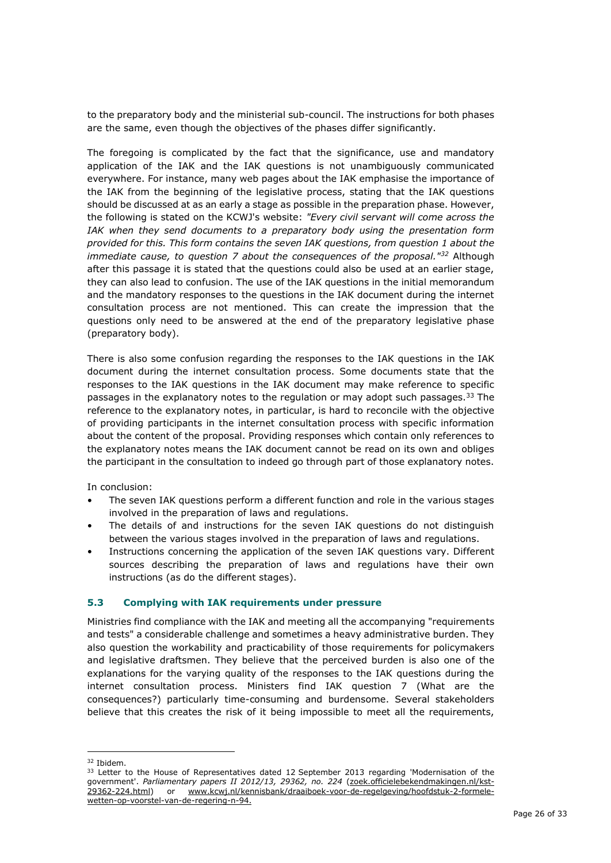to the preparatory body and the ministerial sub-council. The instructions for both phases are the same, even though the objectives of the phases differ significantly.

The foregoing is complicated by the fact that the significance, use and mandatory application of the IAK and the IAK questions is not unambiguously communicated everywhere. For instance, many web pages about the IAK emphasise the importance of the IAK from the beginning of the legislative process, stating that the IAK questions should be discussed at as an early a stage as possible in the preparation phase. However, the following is stated on the KCWJ's website: *"Every civil servant will come across the IAK when they send documents to a preparatory body using the presentation form provided for this. This form contains the seven IAK questions, from question 1 about the immediate cause, to question 7 about the consequences of the proposal."<sup>32</sup>* Although after this passage it is stated that the questions could also be used at an earlier stage, they can also lead to confusion. The use of the IAK questions in the initial memorandum and the mandatory responses to the questions in the IAK document during the internet consultation process are not mentioned. This can create the impression that the questions only need to be answered at the end of the preparatory legislative phase (preparatory body).

There is also some confusion regarding the responses to the IAK questions in the IAK document during the internet consultation process. Some documents state that the responses to the IAK questions in the IAK document may make reference to specific passages in the explanatory notes to the regulation or may adopt such passages.<sup>[33](#page-25-0)</sup> The reference to the explanatory notes, in particular, is hard to reconcile with the objective of providing participants in the internet consultation process with specific information about the content of the proposal. Providing responses which contain only references to the explanatory notes means the IAK document cannot be read on its own and obliges the participant in the consultation to indeed go through part of those explanatory notes.

In conclusion:

- The seven IAK questions perform a different function and role in the various stages involved in the preparation of laws and regulations.
- The details of and instructions for the seven IAK questions do not distinguish between the various stages involved in the preparation of laws and regulations.
- Instructions concerning the application of the seven IAK questions vary. Different sources describing the preparation of laws and regulations have their own instructions (as do the different stages).

#### **5.3 Complying with IAK requirements under pressure**

Ministries find compliance with the IAK and meeting all the accompanying "requirements and tests" a considerable challenge and sometimes a heavy administrative burden. They also question the workability and practicability of those requirements for policymakers and legislative draftsmen. They believe that the perceived burden is also one of the explanations for the varying quality of the responses to the IAK questions during the internet consultation process. Ministers find IAK question 7 (What are the consequences?) particularly time-consuming and burdensome. Several stakeholders believe that this creates the risk of it being impossible to meet all the requirements,

<sup>32</sup> Ibidem.

<span id="page-25-0"></span><sup>&</sup>lt;sup>33</sup> Letter to the House of Representatives dated 12 September 2013 regarding 'Modernisation of the government'. Parliamentary papers II 2012/13, 29362, no. 224 [\(zoek.officielebekendmakingen.nl/kst-](http://zoek.officielebekendmakingen.nl/kst-29362-224.html)[29362-224.html\)](http://zoek.officielebekendmakingen.nl/kst-29362-224.html) or [www.kcwj.nl/kennisbank/draaiboek-voor-de-regelgeving/hoofdstuk-2-formele](http://www.kcwj.nl/kennisbank/draaiboek-voor-de-regelgeving/hoofdstuk-2-formele-wetten-op-voorstel-van-de-regering-n-94)[wetten-op-voorstel-van-de-regering-n-94.](http://www.kcwj.nl/kennisbank/draaiboek-voor-de-regelgeving/hoofdstuk-2-formele-wetten-op-voorstel-van-de-regering-n-94)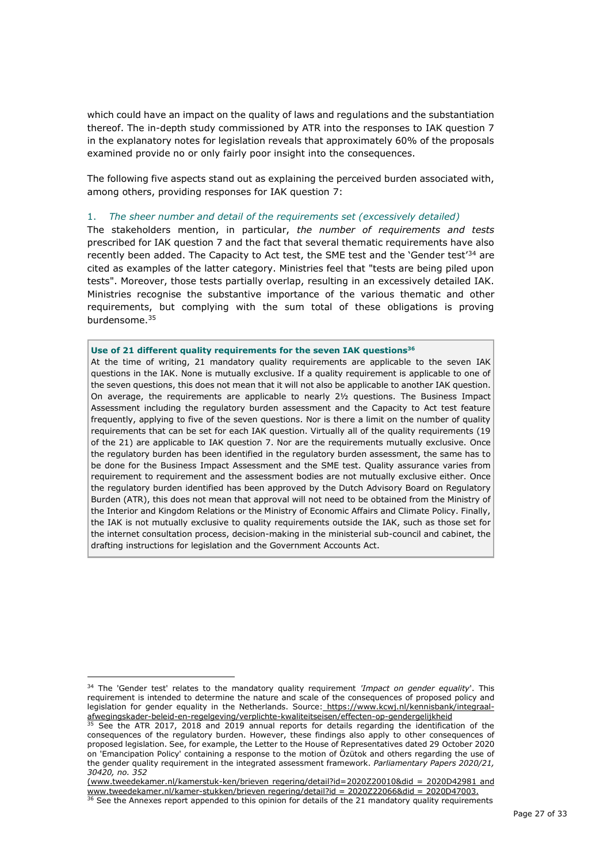which could have an impact on the quality of laws and regulations and the substantiation thereof. The in-depth study commissioned by ATR into the responses to IAK question 7 in the explanatory notes for legislation reveals that approximately 60% of the proposals examined provide no or only fairly poor insight into the consequences.

The following five aspects stand out as explaining the perceived burden associated with, among others, providing responses for IAK question 7:

#### 1. *The sheer number and detail of the requirements set (excessively detailed)*

The stakeholders mention, in particular, *the number of requirements and tests* prescribed for IAK question 7 and the fact that several thematic requirements have also recently been added. The Capacity to Act test, the SME test and the 'Gender test'<sup>34</sup> are cited as examples of the latter category. Ministries feel that "tests are being piled upon tests". Moreover, those tests partially overlap, resulting in an excessively detailed IAK. Ministries recognise the substantive importance of the various thematic and other requirements, but complying with the sum total of these obligations is proving burdensome.<sup>35</sup>

#### **Use of 21 different quality requirements for the seven IAK questions<sup>36</sup>**

At the time of writing, 21 mandatory quality requirements are applicable to the seven IAK questions in the IAK. None is mutually exclusive. If a quality requirement is applicable to one of the seven questions, this does not mean that it will not also be applicable to another IAK question. On average, the requirements are applicable to nearly 2½ questions. The Business Impact Assessment including the regulatory burden assessment and the Capacity to Act test feature frequently, applying to five of the seven questions. Nor is there a limit on the number of quality requirements that can be set for each IAK question. Virtually all of the quality requirements (19 of the 21) are applicable to IAK question 7. Nor are the requirements mutually exclusive. Once the regulatory burden has been identified in the regulatory burden assessment, the same has to be done for the Business Impact Assessment and the SME test. Quality assurance varies from requirement to requirement and the assessment bodies are not mutually exclusive either. Once the regulatory burden identified has been approved by the Dutch Advisory Board on Regulatory Burden (ATR), this does not mean that approval will not need to be obtained from the Ministry of the Interior and Kingdom Relations or the Ministry of Economic Affairs and Climate Policy. Finally, the IAK is not mutually exclusive to quality requirements outside the IAK, such as those set for the internet consultation process, decision-making in the ministerial sub-council and cabinet, the drafting instructions for legislation and the Government Accounts Act.

<sup>34</sup> The 'Gender test' relates to the mandatory quality requirement *'Impact on gender equality*'. This requirement is intended to determine the nature and scale of the consequences of proposed policy and legislation for gender equality in the Netherlands. Source: [https://www.kcwj.nl/kennisbank/integraal](https://www.kcwj.nl/kennisbank/integraal-afwegingskader-beleid-en-regelgeving/verplichte-kwaliteitseisen/effecten-op-gendergelijkheid)[afwegingskader-beleid-en-regelgeving/verplichte-kwaliteitseisen/effecten-op-gendergelijkheid](https://www.kcwj.nl/kennisbank/integraal-afwegingskader-beleid-en-regelgeving/verplichte-kwaliteitseisen/effecten-op-gendergelijkheid)

 $35$  See the ATR 2017, 2018 and 2019 annual reports for details regarding the identification of the consequences of the regulatory burden. However, these findings also apply to other consequences of proposed legislation. See, for example, the Letter to the House of Representatives dated 29 October 2020 on 'Emancipation Policy' containing a response to the motion of Özütok and others regarding the use of the gender quality requirement in the integrated assessment framework. *Parliamentary Papers 2020/21, 30420, no. 352*

[<sup>\(</sup>www.tweedekamer.nl/kamerstuk-ken/brieven regering/detail?id=2020Z20010&did = 2020D42981](http://www.tweedekamer.nl/kamerstuk-ken/brieven_regering/detail?id=2020Z20010&did=2020D42981) and [www.tweedekamer.nl/kamer-stukken/brieven regering/detail?id = 2020Z22066&did = 2020D47003.](http://www.tweedekamer.nl/kamer-stukken/brieven%20regering/detail?id%20=%202020Z22066&did%20=%202020D47003.)

 $36$  See the Annexes report appended to this opinion for details of the 21 mandatory quality requirements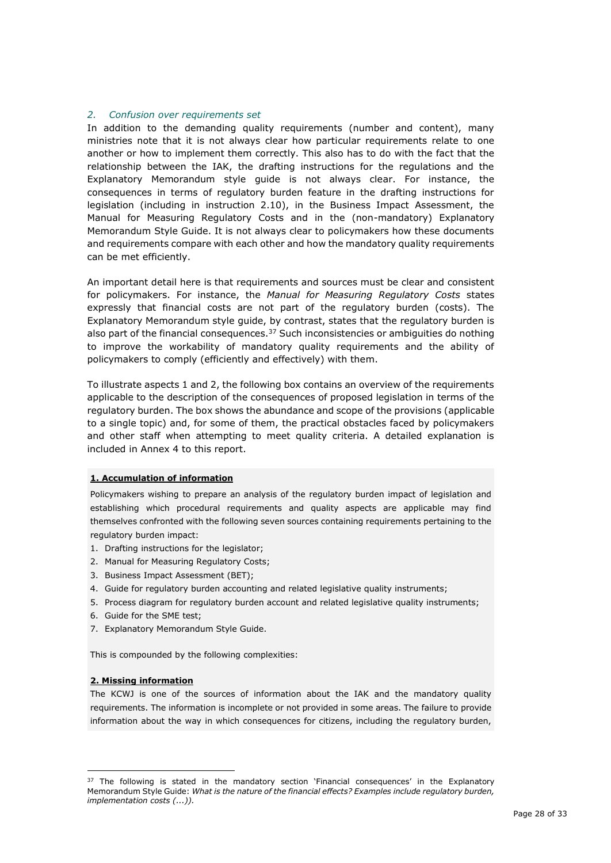#### *2. Confusion over requirements set*

In addition to the demanding quality requirements (number and content), many ministries note that it is not always clear how particular requirements relate to one another or how to implement them correctly. This also has to do with the fact that the relationship between the IAK, the drafting instructions for the regulations and the Explanatory Memorandum style guide is not always clear. For instance, the consequences in terms of regulatory burden feature in the drafting instructions for legislation (including in instruction 2.10), in the Business Impact Assessment, the Manual for Measuring Regulatory Costs and in the (non-mandatory) Explanatory Memorandum Style Guide. It is not always clear to policymakers how these documents and requirements compare with each other and how the mandatory quality requirements can be met efficiently.

An important detail here is that requirements and sources must be clear and consistent for policymakers. For instance, the *Manual for Measuring Regulatory Costs* states expressly that financial costs are not part of the regulatory burden (costs). The Explanatory Memorandum style guide, by contrast, states that the regulatory burden is also part of the financial consequences. $37$  Such inconsistencies or ambiguities do nothing to improve the workability of mandatory quality requirements and the ability of policymakers to comply (efficiently and effectively) with them.

To illustrate aspects 1 and 2, the following box contains an overview of the requirements applicable to the description of the consequences of proposed legislation in terms of the regulatory burden. The box shows the abundance and scope of the provisions (applicable to a single topic) and, for some of them, the practical obstacles faced by policymakers and other staff when attempting to meet quality criteria. A detailed explanation is included in Annex 4 to this report.

#### **1. Accumulation of information**

Policymakers wishing to prepare an analysis of the regulatory burden impact of legislation and establishing which procedural requirements and quality aspects are applicable may find themselves confronted with the following seven sources containing requirements pertaining to the regulatory burden impact:

- 1. Drafting instructions for the legislator;
- 2. Manual for Measuring Regulatory Costs;
- 3. Business Impact Assessment (BET);
- 4. Guide for regulatory burden accounting and related legislative quality instruments;
- 5. Process diagram for regulatory burden account and related legislative quality instruments;
- 6. Guide for the SME test;
- 7. Explanatory Memorandum Style Guide.

This is compounded by the following complexities:

#### **2. Missing information**

The KCWJ is one of the sources of information about the IAK and the mandatory quality requirements. The information is incomplete or not provided in some areas. The failure to provide information about the way in which consequences for citizens, including the regulatory burden,

<sup>&</sup>lt;sup>37</sup> The following is stated in the mandatory section 'Financial consequences' in the Explanatory Memorandum Style Guide: *What is the nature of the financial effects? Examples include regulatory burden, implementation costs (...)).*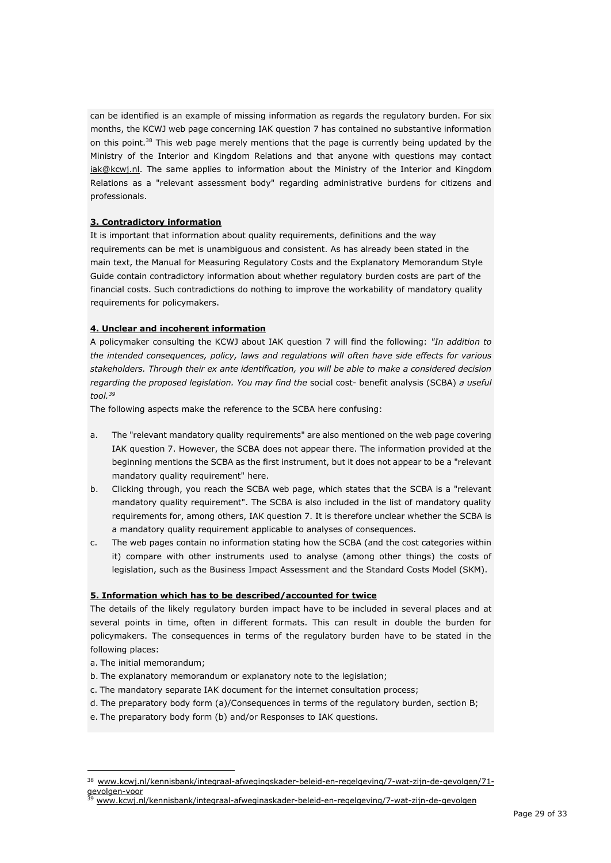can be identified is an example of missing information as regards the regulatory burden. For six months, the KCWJ web page concerning IAK question 7 has contained no substantive information on this point. $38$  This web page merely mentions that the page is currently being updated by the Ministry of the Interior and Kingdom Relations and that anyone with questions may contac[t](mailto:%20iak@kcwj.nl.) iak@kcwi.nl. The same applies to information about the Ministry of the Interior and Kingdom Relations as a "relevant assessment body" regarding administrative burdens for citizens and professionals.

#### **3. Contradictory information**

It is important that information about quality requirements, definitions and the way requirements can be met is unambiguous and consistent. As has already been stated in the main text, the Manual for Measuring Regulatory Costs and the Explanatory Memorandum Style Guide contain contradictory information about whether regulatory burden costs are part of the financial costs. Such contradictions do nothing to improve the workability of mandatory quality requirements for policymakers.

#### **4. Unclear and incoherent information**

A policymaker consulting the KCWJ about IAK question 7 will find the following: *"In addition to the intended consequences, policy, laws and regulations will often have side effects for various stakeholders. Through their ex ante identification, you will be able to make a considered decision regarding the proposed legislation. You may find the* [social cost-](https://www.kcwj.nl/kennisbank/alt-integraal-afwegingskader-beleid-en-regelgeving/6-wat-is-het-beste-instrument/alt-61-beleidsinstrumenten/maatschappelijke-kosten-en-batenanalyse-mkba/) [benefit analysis \(SCBA\)](https://www.kcwj.nl/kennisbank/alt-integraal-afwegingskader-beleid-en-regelgeving/6-wat-is-het-beste-instrument/alt-61-beleidsinstrumenten/maatschappelijke-kosten-en-batenanalyse-mkba/) *a useful tool.<sup>39</sup>*

The following aspects make the reference to the SCBA here confusing:

- a. The "relevant mandatory quality requirements" are also mentioned on the web page covering IAK question 7. However, the SCBA does not appear there. The information provided at the beginning mentions the SCBA as the first instrument, but it does not appear to be a "relevant mandatory quality requirement" here.
- b. Clicking through, you reach the SCBA web page, which states that the SCBA is a "relevant mandatory quality requirement". The SCBA is also included in the list of mandatory quality requirements for, among others, IAK question 7. It is therefore unclear whether the SCBA is a mandatory quality requirement applicable to analyses of consequences.
- c. The web pages contain no information stating how the SCBA (and the cost categories within it) compare with other instruments used to analyse (among other things) the costs of legislation, such as the Business Impact Assessment and the Standard Costs Model (SKM).

#### **5. Information which has to be described/accounted for twice**

The details of the likely regulatory burden impact have to be included in several places and at several points in time, often in different formats. This can result in double the burden for policymakers. The consequences in terms of the regulatory burden have to be stated in the following places:

- a. The initial memorandum;
- b. The explanatory memorandum or explanatory note to the legislation;
- c. The mandatory separate IAK document for the internet consultation process;
- d. The preparatory body form (a)/Consequences in terms of the regulatory burden, section B;
- e. The preparatory body form (b) and/or Responses to IAK questions.

<sup>38</sup> www.kcwj.nl/kennisbank/integraal-afwegingskader-beleid-en-regelgeving/7-wat-zijn-de-gevolgen/71 gevolgen-voor

<sup>39</sup> [www.kcwj.nl/kennisbank/integraal-afweginaskader-beleid-en-regelgeving/7-wat-zijn-de-gevolgen](http://www.kcwj.nl/kennisbank/integraal-afwegingskader-beleid-en-regelgeving/7-wat-zijn-de-gevolgen)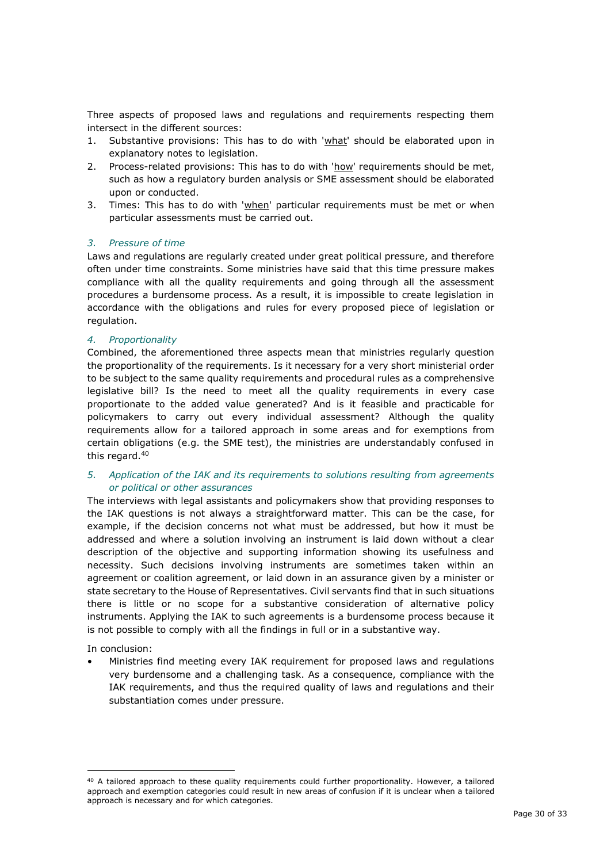Three aspects of proposed laws and regulations and requirements respecting them intersect in the different sources:

- 1. Substantive provisions: This has to do with 'what' should be elaborated upon in explanatory notes to legislation.
- 2. Process-related provisions: This has to do with 'how' requirements should be met, such as how a regulatory burden analysis or SME assessment should be elaborated upon or conducted.
- 3. Times: This has to do with 'when' particular requirements must be met or when particular assessments must be carried out.

### *3. Pressure of time*

Laws and regulations are regularly created under great political pressure, and therefore often under time constraints. Some ministries have said that this time pressure makes compliance with all the quality requirements and going through all the assessment procedures a burdensome process. As a result, it is impossible to create legislation in accordance with the obligations and rules for every proposed piece of legislation or regulation.

#### *4. Proportionality*

Combined, the aforementioned three aspects mean that ministries regularly question the proportionality of the requirements. Is it necessary for a very short ministerial order to be subject to the same quality requirements and procedural rules as a comprehensive legislative bill? Is the need to meet all the quality requirements in every case proportionate to the added value generated? And is it feasible and practicable for policymakers to carry out every individual assessment? Although the quality requirements allow for a tailored approach in some areas and for exemptions from certain obligations (e.g. the SME test), the ministries are understandably confused in this regard.<sup>40</sup>

### *5. Application of the IAK and its requirements to solutions resulting from agreements or political or other assurances*

The interviews with legal assistants and policymakers show that providing responses to the IAK questions is not always a straightforward matter. This can be the case, for example, if the decision concerns not what must be addressed, but how it must be addressed and where a solution involving an instrument is laid down without a clear description of the objective and supporting information showing its usefulness and necessity. Such decisions involving instruments are sometimes taken within an agreement or coalition agreement, or laid down in an assurance given by a minister or state secretary to the House of Representatives. Civil servants find that in such situations there is little or no scope for a substantive consideration of alternative policy instruments. Applying the IAK to such agreements is a burdensome process because it is not possible to comply with all the findings in full or in a substantive way.

In conclusion:

• Ministries find meeting every IAK requirement for proposed laws and regulations very burdensome and a challenging task. As a consequence, compliance with the IAK requirements, and thus the required quality of laws and regulations and their substantiation comes under pressure.

<sup>40</sup> A tailored approach to these quality requirements could further proportionality. However, a tailored approach and exemption categories could result in new areas of confusion if it is unclear when a tailored approach is necessary and for which categories.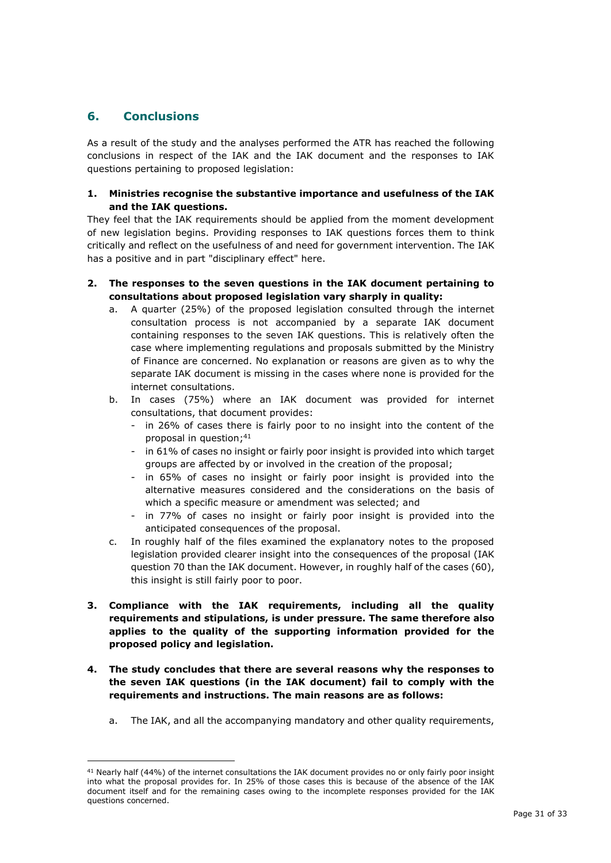## **6. Conclusions**

As a result of the study and the analyses performed the ATR has reached the following conclusions in respect of the IAK and the IAK document and the responses to IAK questions pertaining to proposed legislation:

### **1. Ministries recognise the substantive importance and usefulness of the IAK and the IAK questions.**

They feel that the IAK requirements should be applied from the moment development of new legislation begins. Providing responses to IAK questions forces them to think critically and reflect on the usefulness of and need for government intervention. The IAK has a positive and in part "disciplinary effect" here.

- **2. The responses to the seven questions in the IAK document pertaining to consultations about proposed legislation vary sharply in quality:**
	- a. A quarter (25%) of the proposed legislation consulted through the internet consultation process is not accompanied by a separate IAK document containing responses to the seven IAK questions. This is relatively often the case where implementing regulations and proposals submitted by the Ministry of Finance are concerned. No explanation or reasons are given as to why the separate IAK document is missing in the cases where none is provided for the internet consultations.
	- b. In cases (75%) where an IAK document was provided for internet consultations, that document provides:
		- in 26% of cases there is fairly poor to no insight into the content of the proposal in question; 41
		- in 61% of cases no insight or fairly poor insight is provided into which target groups are affected by or involved in the creation of the proposal;
		- in 65% of cases no insight or fairly poor insight is provided into the alternative measures considered and the considerations on the basis of which a specific measure or amendment was selected; and
		- in 77% of cases no insight or fairly poor insight is provided into the anticipated consequences of the proposal.
	- c. In roughly half of the files examined the explanatory notes to the proposed legislation provided clearer insight into the consequences of the proposal (IAK question 70 than the IAK document. However, in roughly half of the cases (60), this insight is still fairly poor to poor.
- **3. Compliance with the IAK requirements, including all the quality requirements and stipulations, is under pressure. The same therefore also applies to the quality of the supporting information provided for the proposed policy and legislation.**
- **4. The study concludes that there are several reasons why the responses to the seven IAK questions (in the IAK document) fail to comply with the requirements and instructions. The main reasons are as follows:**
	- a. The IAK, and all the accompanying mandatory and other quality requirements,

<sup>41</sup> Nearly half (44%) of the internet consultations the IAK document provides no or only fairly poor insight into what the proposal provides for. In 25% of those cases this is because of the absence of the IAK document itself and for the remaining cases owing to the incomplete responses provided for the IAK questions concerned.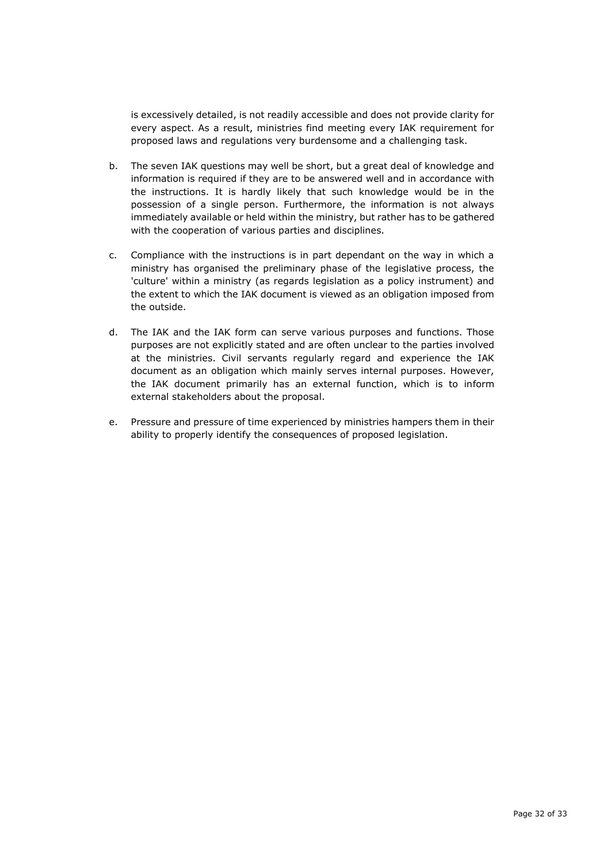is excessively detailed, is not readily accessible and does not provide clarity for every aspect. As a result, ministries find meeting every IAK requirement for proposed laws and regulations very burdensome and a challenging task.

- b. The seven IAK questions may well be short, but a great deal of knowledge and information is required if they are to be answered well and in accordance with the instructions. It is hardly likely that such knowledge would be in the possession of a single person. Furthermore, the information is not always immediately available or held within the ministry, but rather has to be gathered with the cooperation of various parties and disciplines.
- c. Compliance with the instructions is in part dependant on the way in which a ministry has organised the preliminary phase of the legislative process, the 'culture' within a ministry (as regards legislation as a policy instrument) and the extent to which the IAK document is viewed as an obligation imposed from the outside.
- d. The IAK and the IAK form can serve various purposes and functions. Those purposes are not explicitly stated and are often unclear to the parties involved at the ministries. Civil servants regularly regard and experience the IAK document as an obligation which mainly serves internal purposes. However, the IAK document primarily has an external function, which is to inform external stakeholders about the proposal.
- e. Pressure and pressure of time experienced by ministries hampers them in their ability to properly identify the consequences of proposed legislation.